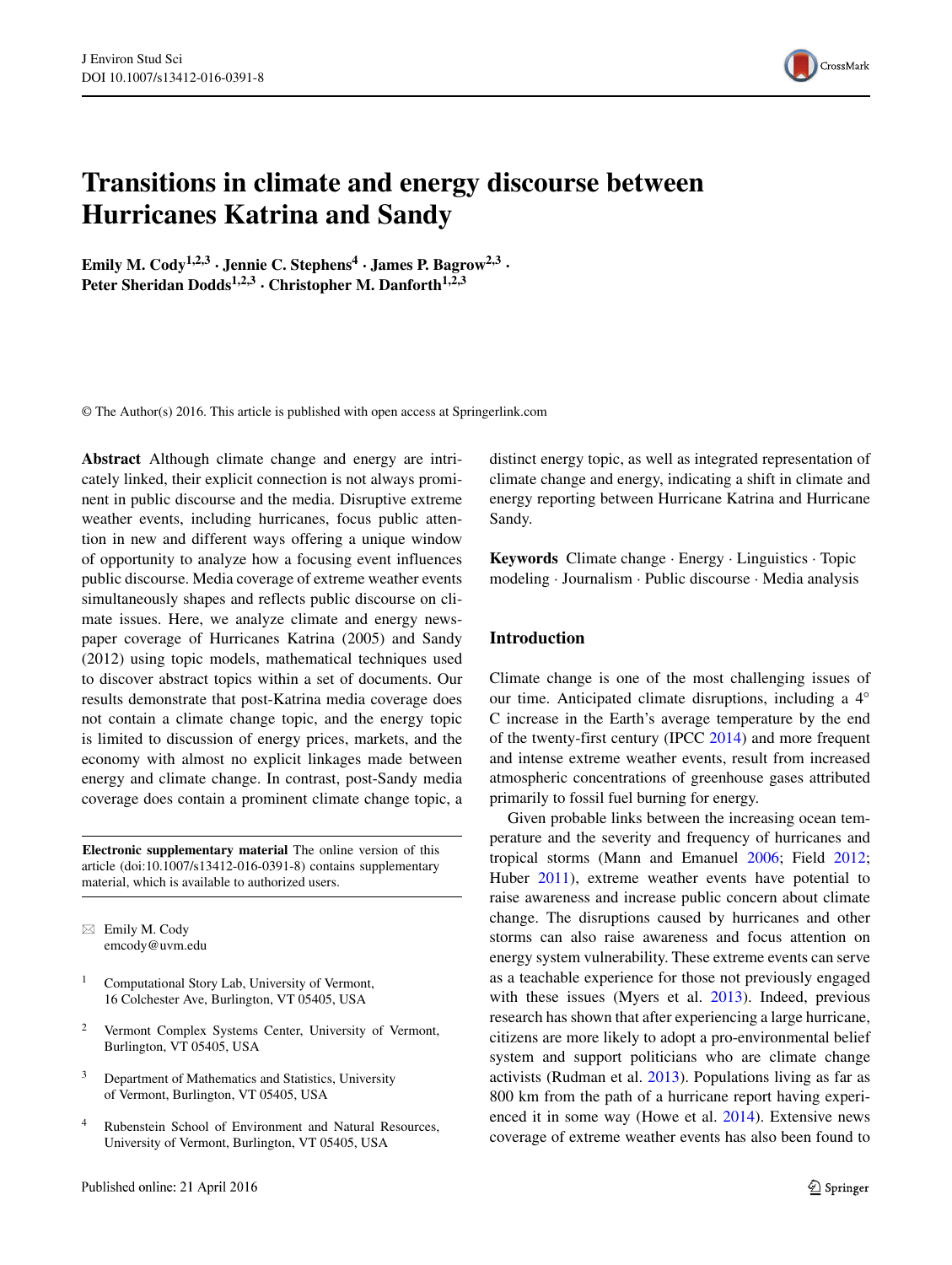

# **Transitions in climate and energy discourse between Hurricanes Katrina and Sandy**

**Emily M. Cody**<sup> $1,2,3$ </sup> **• Jennie C. Stephens<sup>4</sup> <b>• James P. Bagrow**<sup> $2,3$ </sup> **• Peter Sheridan Dodds**<sup>1,2,3</sup> **• Christopher M. Danforth**<sup>1,2,3</sup>

© The Author(s) 2016. This article is published with open access at Springerlink.com

**Abstract** Although climate change and energy are intricately linked, their explicit connection is not always prominent in public discourse and the media. Disruptive extreme weather events, including hurricanes, focus public attention in new and different ways offering a unique window of opportunity to analyze how a focusing event influences public discourse. Media coverage of extreme weather events simultaneously shapes and reflects public discourse on climate issues. Here, we analyze climate and energy newspaper coverage of Hurricanes Katrina (2005) and Sandy (2012) using topic models, mathematical techniques used to discover abstract topics within a set of documents. Our results demonstrate that post-Katrina media coverage does not contain a climate change topic, and the energy topic is limited to discussion of energy prices, markets, and the economy with almost no explicit linkages made between energy and climate change. In contrast, post-Sandy media coverage does contain a prominent climate change topic, a

**Electronic supplementary material** The online version of this article (doi[:10.1007/s13412-016-0391-8\)](http://dx.doi.org/10.1007/s13412-016-0391-8) contains supplementary material, which is available to authorized users.

- Emily M. Cody [emcody@uvm.edu](mailto:emcody@uvm.edu)

- <sup>1</sup> Computational Story Lab, University of Vermont, 16 Colchester Ave, Burlington, VT 05405, USA
- <sup>2</sup> Vermont Complex Systems Center, University of Vermont, Burlington, VT 05405, USA
- <sup>3</sup> Department of Mathematics and Statistics, University of Vermont, Burlington, VT 05405, USA
- <sup>4</sup> Rubenstein School of Environment and Natural Resources, University of Vermont, Burlington, VT 05405, USA

distinct energy topic, as well as integrated representation of climate change and energy, indicating a shift in climate and energy reporting between Hurricane Katrina and Hurricane Sandy.

**Keywords** Climate change · Energy · Linguistics · Topic modeling · Journalism · Public discourse · Media analysis

# **Introduction**

Climate change is one of the most challenging issues of our time. Anticipated climate disruptions, including a 4◦ C increase in the Earth's average temperature by the end of the twenty-first century (IPCC [2014\)](#page-13-0) and more frequent and intense extreme weather events, result from increased atmospheric concentrations of greenhouse gases attributed primarily to fossil fuel burning for energy.

Given probable links between the increasing ocean temperature and the severity and frequency of hurricanes and tropical storms (Mann and Emanuel [2006;](#page-14-0) Field [2012;](#page-13-1) Huber [2011\)](#page-13-2), extreme weather events have potential to raise awareness and increase public concern about climate change. The disruptions caused by hurricanes and other storms can also raise awareness and focus attention on energy system vulnerability. These extreme events can serve as a teachable experience for those not previously engaged with these issues (Myers et al. [2013\)](#page-14-1). Indeed, previous research has shown that after experiencing a large hurricane, citizens are more likely to adopt a pro-environmental belief system and support politicians who are climate change activists (Rudman et al. [2013\)](#page-14-2). Populations living as far as 800 km from the path of a hurricane report having experienced it in some way (Howe et al. [2014\)](#page-13-3). Extensive news coverage of extreme weather events has also been found to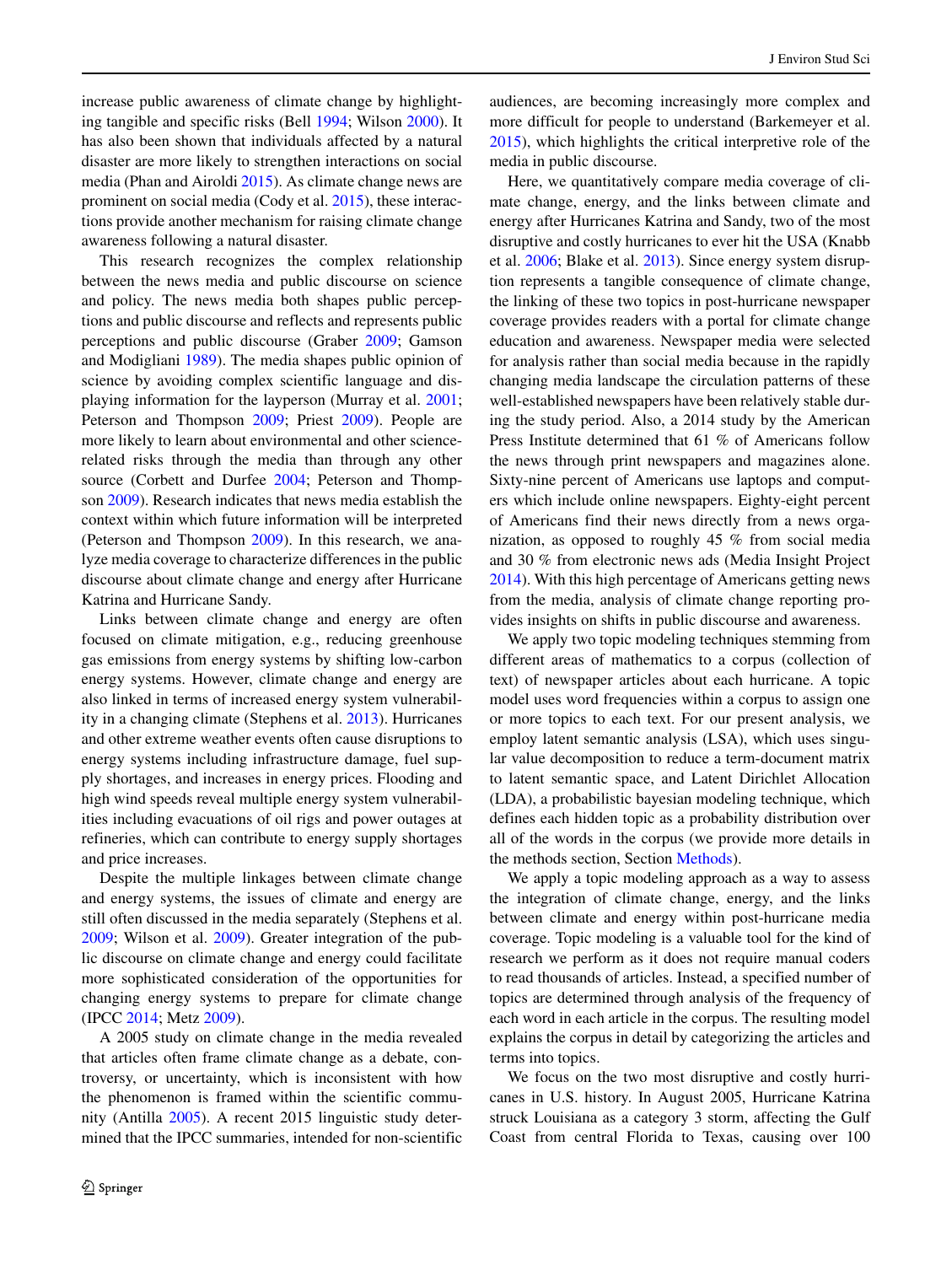increase public awareness of climate change by highlighting tangible and specific risks (Bell [1994;](#page-13-4) Wilson [2000\)](#page-14-3). It has also been shown that individuals affected by a natural disaster are more likely to strengthen interactions on social media (Phan and Airoldi [2015\)](#page-14-4). As climate change news are prominent on social media (Cody et al. [2015\)](#page-13-5), these interactions provide another mechanism for raising climate change awareness following a natural disaster.

This research recognizes the complex relationship between the news media and public discourse on science and policy. The news media both shapes public perceptions and public discourse and reflects and represents public perceptions and public discourse (Graber [2009;](#page-13-6) Gamson and Modigliani [1989\)](#page-13-7). The media shapes public opinion of science by avoiding complex scientific language and displaying information for the layperson (Murray et al. [2001;](#page-14-5) Peterson and Thompson [2009;](#page-14-6) Priest [2009\)](#page-14-7). People are more likely to learn about environmental and other sciencerelated risks through the media than through any other source (Corbett and Durfee [2004;](#page-13-8) Peterson and Thompson [2009\)](#page-14-6). Research indicates that news media establish the context within which future information will be interpreted (Peterson and Thompson [2009\)](#page-14-6). In this research, we analyze media coverage to characterize differences in the public discourse about climate change and energy after Hurricane Katrina and Hurricane Sandy.

Links between climate change and energy are often focused on climate mitigation, e.g., reducing greenhouse gas emissions from energy systems by shifting low-carbon energy systems. However, climate change and energy are also linked in terms of increased energy system vulnerability in a changing climate (Stephens et al. [2013\)](#page-14-8). Hurricanes and other extreme weather events often cause disruptions to energy systems including infrastructure damage, fuel supply shortages, and increases in energy prices. Flooding and high wind speeds reveal multiple energy system vulnerabilities including evacuations of oil rigs and power outages at refineries, which can contribute to energy supply shortages and price increases.

Despite the multiple linkages between climate change and energy systems, the issues of climate and energy are still often discussed in the media separately (Stephens et al. [2009;](#page-14-9) Wilson et al. [2009\)](#page-14-10). Greater integration of the public discourse on climate change and energy could facilitate more sophisticated consideration of the opportunities for changing energy systems to prepare for climate change (IPCC [2014;](#page-13-0) Metz [2009\)](#page-14-11).

A 2005 study on climate change in the media revealed that articles often frame climate change as a debate, controversy, or uncertainty, which is inconsistent with how the phenomenon is framed within the scientific community (Antilla [2005\)](#page-13-9). A recent 2015 linguistic study determined that the IPCC summaries, intended for non-scientific audiences, are becoming increasingly more complex and more difficult for people to understand (Barkemeyer et al. [2015\)](#page-13-10), which highlights the critical interpretive role of the media in public discourse.

Here, we quantitatively compare media coverage of climate change, energy, and the links between climate and energy after Hurricanes Katrina and Sandy, two of the most disruptive and costly hurricanes to ever hit the USA (Knabb et al. [2006;](#page-13-11) Blake et al. [2013\)](#page-13-12). Since energy system disruption represents a tangible consequence of climate change, the linking of these two topics in post-hurricane newspaper coverage provides readers with a portal for climate change education and awareness. Newspaper media were selected for analysis rather than social media because in the rapidly changing media landscape the circulation patterns of these well-established newspapers have been relatively stable during the study period. Also, a 2014 study by the American Press Institute determined that 61 % of Americans follow the news through print newspapers and magazines alone. Sixty-nine percent of Americans use laptops and computers which include online newspapers. Eighty-eight percent of Americans find their news directly from a news organization, as opposed to roughly 45 % from social media and 30 % from electronic news ads (Media Insight Project [2014\)](#page-14-12). With this high percentage of Americans getting news from the media, analysis of climate change reporting provides insights on shifts in public discourse and awareness.

We apply two topic modeling techniques stemming from different areas of mathematics to a corpus (collection of text) of newspaper articles about each hurricane. A topic model uses word frequencies within a corpus to assign one or more topics to each text. For our present analysis, we employ latent semantic analysis (LSA), which uses singular value decomposition to reduce a term-document matrix to latent semantic space, and Latent Dirichlet Allocation (LDA), a probabilistic bayesian modeling technique, which defines each hidden topic as a probability distribution over all of the words in the corpus (we provide more details in the methods section, Section [Methods\)](#page-2-0).

We apply a topic modeling approach as a way to assess the integration of climate change, energy, and the links between climate and energy within post-hurricane media coverage. Topic modeling is a valuable tool for the kind of research we perform as it does not require manual coders to read thousands of articles. Instead, a specified number of topics are determined through analysis of the frequency of each word in each article in the corpus. The resulting model explains the corpus in detail by categorizing the articles and terms into topics.

We focus on the two most disruptive and costly hurricanes in U.S. history. In August 2005, Hurricane Katrina struck Louisiana as a category 3 storm, affecting the Gulf Coast from central Florida to Texas, causing over 100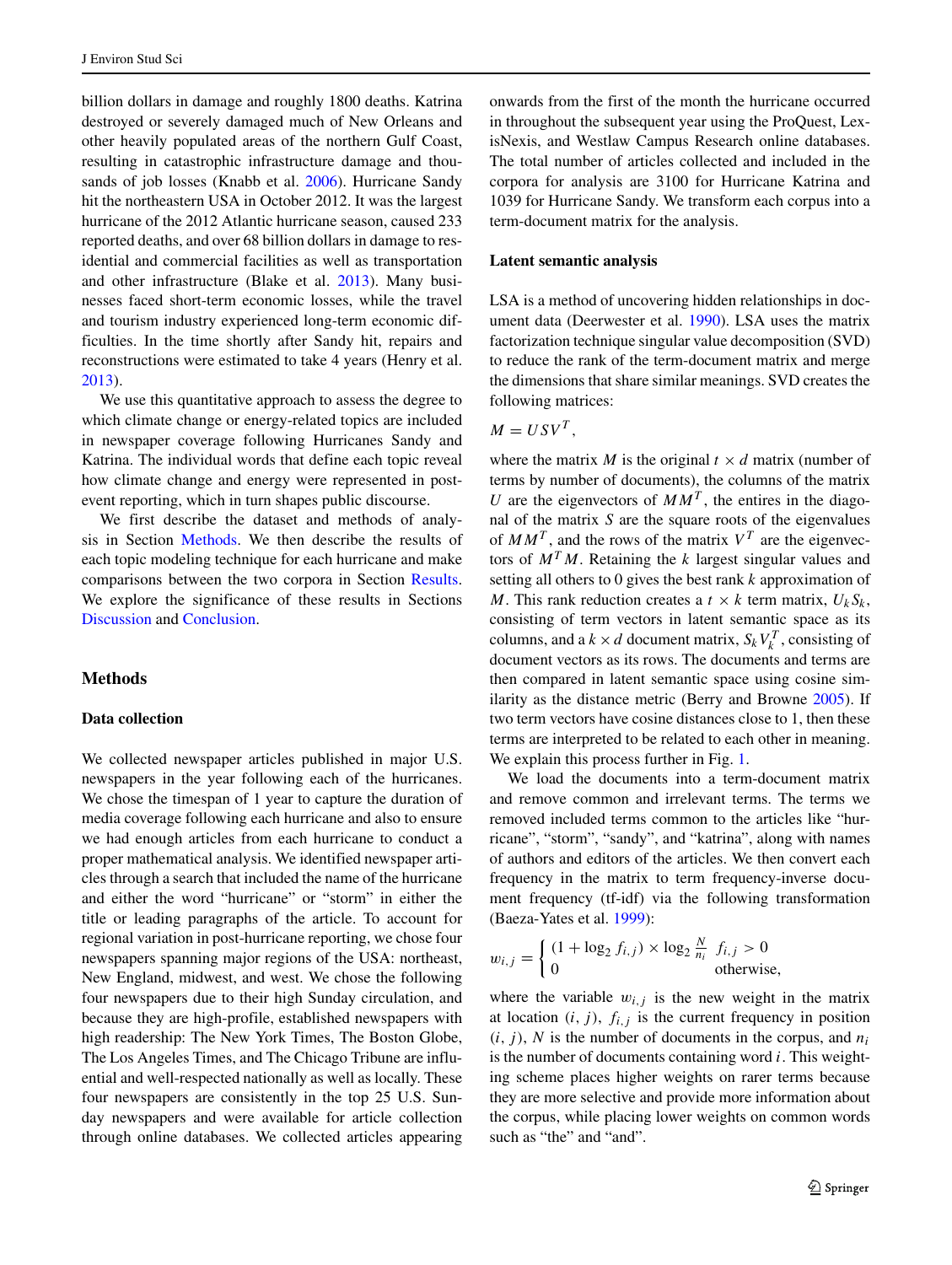billion dollars in damage and roughly 1800 deaths. Katrina destroyed or severely damaged much of New Orleans and other heavily populated areas of the northern Gulf Coast, resulting in catastrophic infrastructure damage and thousands of job losses (Knabb et al. [2006\)](#page-13-11). Hurricane Sandy hit the northeastern USA in October 2012. It was the largest hurricane of the 2012 Atlantic hurricane season, caused 233 reported deaths, and over 68 billion dollars in damage to residential and commercial facilities as well as transportation and other infrastructure (Blake et al. [2013\)](#page-13-12). Many businesses faced short-term economic losses, while the travel and tourism industry experienced long-term economic difficulties. In the time shortly after Sandy hit, repairs and reconstructions were estimated to take 4 years (Henry et al. [2013\)](#page-13-13).

We use this quantitative approach to assess the degree to which climate change or energy-related topics are included in newspaper coverage following Hurricanes Sandy and Katrina. The individual words that define each topic reveal how climate change and energy were represented in postevent reporting, which in turn shapes public discourse.

We first describe the dataset and methods of analysis in Section [Methods.](#page-2-0) We then describe the results of each topic modeling technique for each hurricane and make comparisons between the two corpora in Section [Results.](#page-5-0) We explore the significance of these results in Sections [Discussion](#page-11-0) and [Conclusion.](#page-12-0)

## <span id="page-2-0"></span>**Methods**

## **Data collection**

We collected newspaper articles published in major U.S. newspapers in the year following each of the hurricanes. We chose the timespan of 1 year to capture the duration of media coverage following each hurricane and also to ensure we had enough articles from each hurricane to conduct a proper mathematical analysis. We identified newspaper articles through a search that included the name of the hurricane and either the word "hurricane" or "storm" in either the title or leading paragraphs of the article. To account for regional variation in post-hurricane reporting, we chose four newspapers spanning major regions of the USA: northeast, New England, midwest, and west. We chose the following four newspapers due to their high Sunday circulation, and because they are high-profile, established newspapers with high readership: The New York Times, The Boston Globe, The Los Angeles Times, and The Chicago Tribune are influential and well-respected nationally as well as locally. These four newspapers are consistently in the top 25 U.S. Sunday newspapers and were available for article collection through online databases. We collected articles appearing onwards from the first of the month the hurricane occurred in throughout the subsequent year using the ProQuest, LexisNexis, and Westlaw Campus Research online databases. The total number of articles collected and included in the corpora for analysis are 3100 for Hurricane Katrina and 1039 for Hurricane Sandy. We transform each corpus into a term-document matrix for the analysis.

## **Latent semantic analysis**

LSA is a method of uncovering hidden relationships in document data (Deerwester et al. [1990\)](#page-13-14). LSA uses the matrix factorization technique singular value decomposition (SVD) to reduce the rank of the term-document matrix and merge the dimensions that share similar meanings. SVD creates the following matrices:

$$
M = USV^T,
$$

where the matrix *M* is the original  $t \times d$  matrix (number of terms by number of documents), the columns of the matrix *U* are the eigenvectors of  $MM<sup>T</sup>$ , the entires in the diagonal of the matrix *S* are the square roots of the eigenvalues of  $MM<sup>T</sup>$ , and the rows of the matrix  $V<sup>T</sup>$  are the eigenvectors of  $M<sup>T</sup>M$ . Retaining the *k* largest singular values and setting all others to 0 gives the best rank *k* approximation of *M*. This rank reduction creates a  $t \times k$  term matrix,  $U_k S_k$ , consisting of term vectors in latent semantic space as its columns, and a  $k \times d$  document matrix,  $S_k V_k^T$ , consisting of document vectors as its rows. The documents and terms are then compared in latent semantic space using cosine similarity as the distance metric (Berry and Browne [2005\)](#page-13-15). If two term vectors have cosine distances close to 1, then these terms are interpreted to be related to each other in meaning. We explain this process further in Fig. [1.](#page-3-0)

We load the documents into a term-document matrix and remove common and irrelevant terms. The terms we removed included terms common to the articles like "hurricane", "storm", "sandy", and "katrina", along with names of authors and editors of the articles. We then convert each frequency in the matrix to term frequency-inverse document frequency (tf-idf) via the following transformation (Baeza-Yates et al. [1999\)](#page-13-16):

$$
w_{i,j} = \begin{cases} (1 + \log_2 f_{i,j}) \times \log_2 \frac{N}{n_i} & f_{i,j} > 0\\ 0 & \text{otherwise,} \end{cases}
$$

where the variable  $w_{i,j}$  is the new weight in the matrix at location  $(i, j)$ ,  $f_{i,j}$  is the current frequency in position  $(i, j)$ , *N* is the number of documents in the corpus, and  $n_i$ is the number of documents containing word *i*. This weighting scheme places higher weights on rarer terms because they are more selective and provide more information about the corpus, while placing lower weights on common words such as "the" and "and".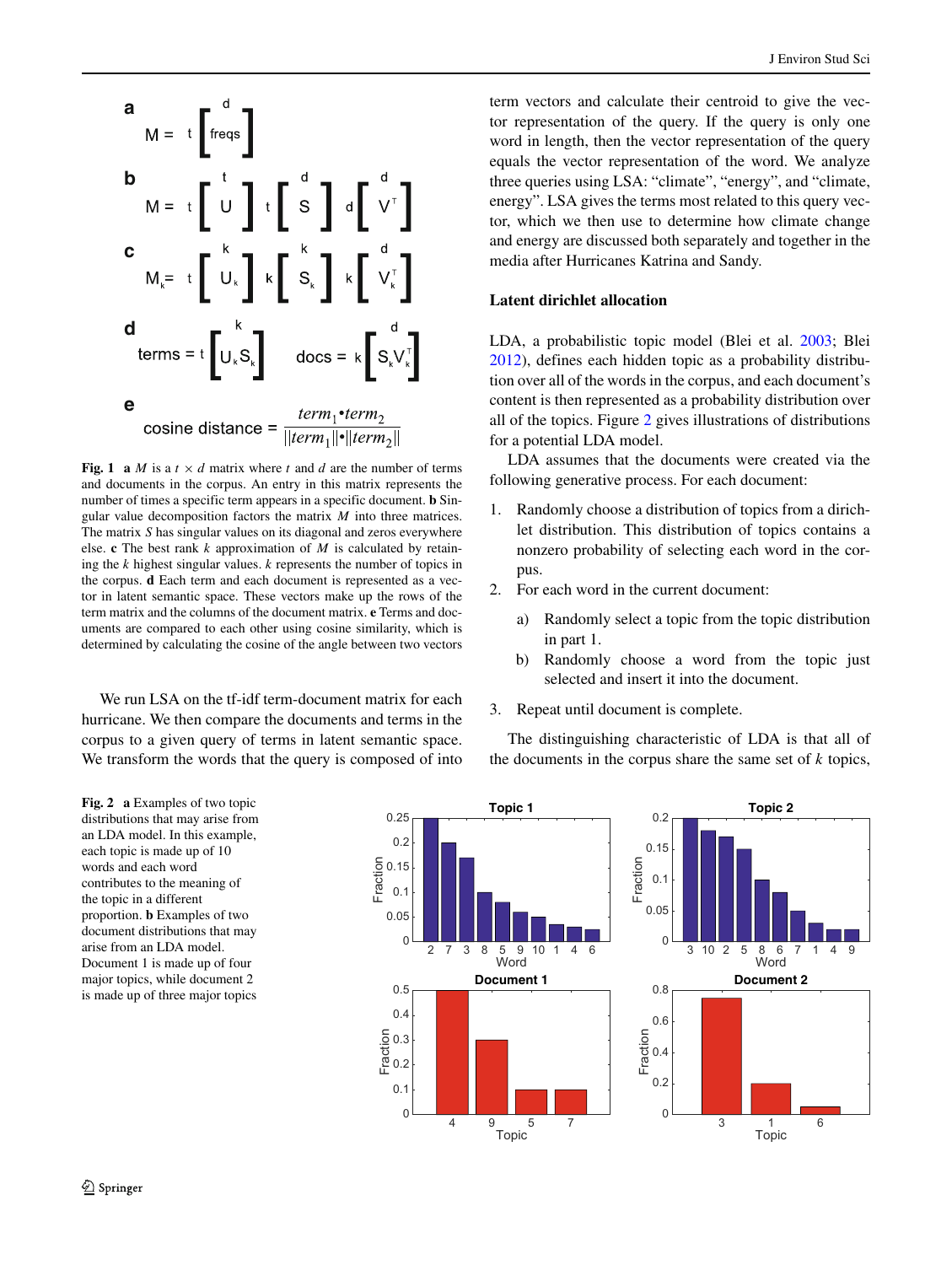<span id="page-3-0"></span>

**Fig. 1** a *M* is a  $t \times d$  matrix where *t* and *d* are the number of terms and documents in the corpus. An entry in this matrix represents the number of times a specific term appears in a specific document. **b** Singular value decomposition factors the matrix *M* into three matrices. The matrix *S* has singular values on its diagonal and zeros everywhere else. **c** The best rank *k* approximation of *M* is calculated by retaining the *k* highest singular values. *k* represents the number of topics in the corpus. **d** Each term and each document is represented as a vector in latent semantic space. These vectors make up the rows of the term matrix and the columns of the document matrix. **e** Terms and documents are compared to each other using cosine similarity, which is determined by calculating the cosine of the angle between two vectors

We run LSA on the tf-idf term-document matrix for each hurricane. We then compare the documents and terms in the corpus to a given query of terms in latent semantic space. We transform the words that the query is composed of into J Environ Stud Sci

term vectors and calculate their centroid to give the vector representation of the query. If the query is only one word in length, then the vector representation of the query equals the vector representation of the word. We analyze three queries using LSA: "climate", "energy", and "climate, energy". LSA gives the terms most related to this query vector, which we then use to determine how climate change and energy are discussed both separately and together in the media after Hurricanes Katrina and Sandy.

## **Latent dirichlet allocation**

LDA, a probabilistic topic model (Blei et al. [2003;](#page-13-17) Blei [2012\)](#page-13-18), defines each hidden topic as a probability distribution over all of the words in the corpus, and each document's content is then represented as a probability distribution over all of the topics. Figure [2](#page-3-1) gives illustrations of distributions for a potential LDA model.

LDA assumes that the documents were created via the following generative process. For each document:

- 1. Randomly choose a distribution of topics from a dirichlet distribution. This distribution of topics contains a nonzero probability of selecting each word in the corpus.
- 2. For each word in the current document:
	- a) Randomly select a topic from the topic distribution in part 1.
	- b) Randomly choose a word from the topic just selected and insert it into the document.
- 3. Repeat until document is complete.

The distinguishing characteristic of LDA is that all of the documents in the corpus share the same set of  $k$  topics,

<span id="page-3-1"></span>**Fig. 2 a** Examples of two topic distributions that may arise from an LDA model. In this example, each topic is made up of 10 words and each word contributes to the meaning of the topic in a different proportion. **b** Examples of two document distributions that may arise from an LDA model. Document 1 is made up of four major topics, while document 2 is made up of three major topics

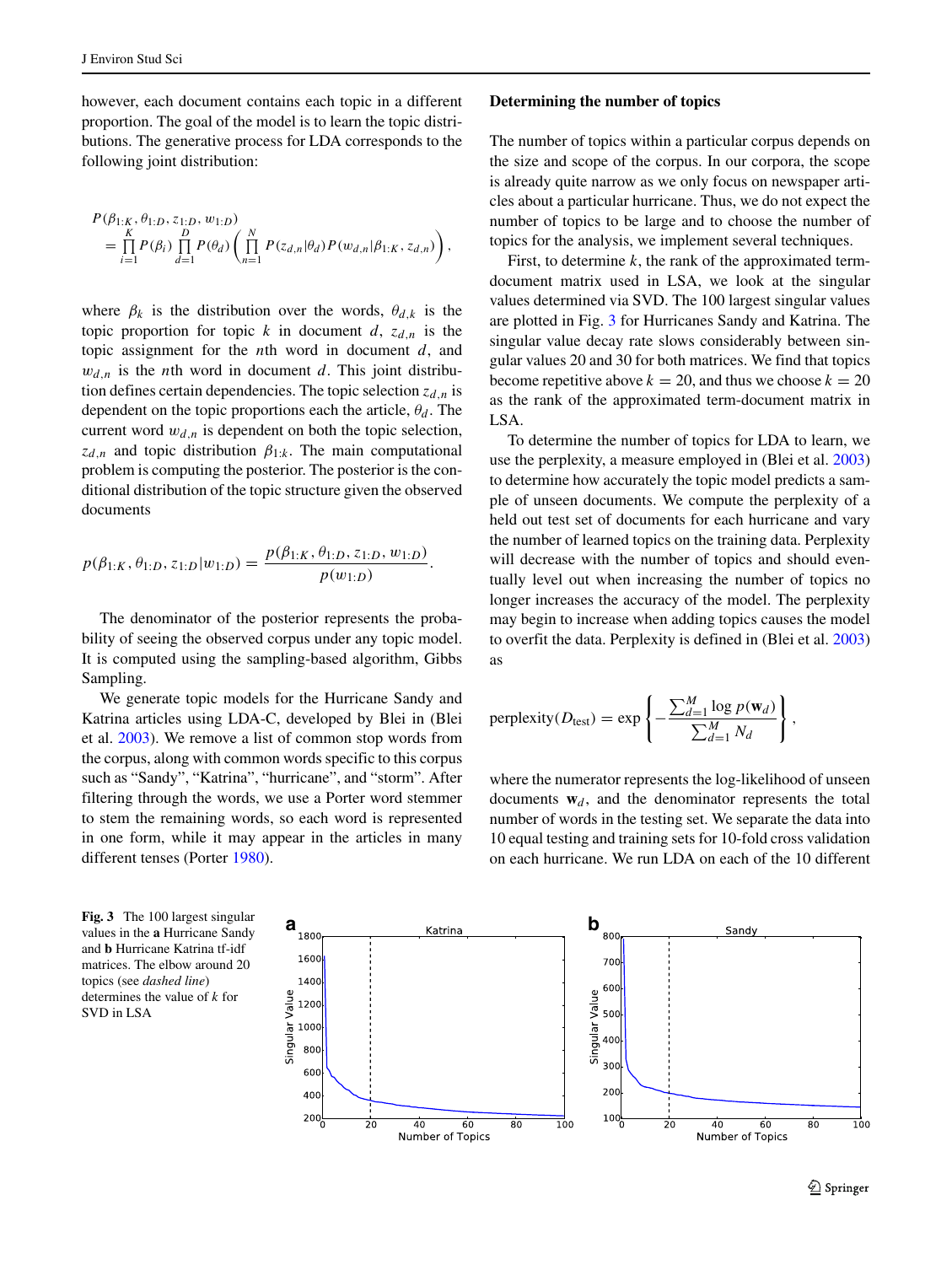however, each document contains each topic in a different proportion. The goal of the model is to learn the topic distributions. The generative process for LDA corresponds to the following joint distribution:

$$
P(\beta_{1:K}, \theta_{1:D}, z_{1:D}, w_{1:D})
$$
  
=  $\prod_{i=1}^{K} P(\beta_i) \prod_{d=1}^{D} P(\theta_d) \left( \prod_{n=1}^{N} P(z_{d,n} | \theta_d) P(w_{d,n} | \beta_{1:K}, z_{d,n}) \right)$ ,

where  $\beta_k$  is the distribution over the words,  $\theta_{d,k}$  is the topic proportion for topic  $k$  in document  $d$ ,  $z_{d,n}$  is the topic assignment for the *n*th word in document *d*, and  $w_{d,n}$  is the *n*th word in document *d*. This joint distribution defines certain dependencies. The topic selection *zd,n* is dependent on the topic proportions each the article,  $\theta_d$ . The current word  $w_{d,n}$  is dependent on both the topic selection, *zd,n* and topic distribution *β*1:*k*. The main computational problem is computing the posterior. The posterior is the conditional distribution of the topic structure given the observed documents

$$
p(\beta_{1:K}, \theta_{1:D}, z_{1:D}|w_{1:D}) = \frac{p(\beta_{1:K}, \theta_{1:D}, z_{1:D}, w_{1:D})}{p(w_{1:D})}.
$$

The denominator of the posterior represents the probability of seeing the observed corpus under any topic model. It is computed using the sampling-based algorithm, Gibbs Sampling.

We generate topic models for the Hurricane Sandy and Katrina articles using LDA-C, developed by Blei in (Blei et al. [2003\)](#page-13-17). We remove a list of common stop words from the corpus, along with common words specific to this corpus such as "Sandy", "Katrina", "hurricane", and "storm". After filtering through the words, we use a Porter word stemmer to stem the remaining words, so each word is represented in one form, while it may appear in the articles in many different tenses (Porter [1980\)](#page-14-13).

<span id="page-4-0"></span>**Fig. 3** The 100 largest singular values in the **a** Hurricane Sandy and **b** Hurricane Katrina tf-idf matrices. The elbow around 20 topics (see *dashed line*) determines the value of *k* for SVD in LSA

#### **Determining the number of topics**

The number of topics within a particular corpus depends on the size and scope of the corpus. In our corpora, the scope is already quite narrow as we only focus on newspaper articles about a particular hurricane. Thus, we do not expect the number of topics to be large and to choose the number of topics for the analysis, we implement several techniques.

First, to determine  $k$ , the rank of the approximated termdocument matrix used in LSA, we look at the singular values determined via SVD. The 100 largest singular values are plotted in Fig. [3](#page-4-0) for Hurricanes Sandy and Katrina. The singular value decay rate slows considerably between singular values 20 and 30 for both matrices. We find that topics become repetitive above  $k = 20$ , and thus we choose  $k = 20$ as the rank of the approximated term-document matrix in LSA.

To determine the number of topics for LDA to learn, we use the perplexity, a measure employed in (Blei et al. [2003\)](#page-13-17) to determine how accurately the topic model predicts a sample of unseen documents. We compute the perplexity of a held out test set of documents for each hurricane and vary the number of learned topics on the training data. Perplexity will decrease with the number of topics and should eventually level out when increasing the number of topics no longer increases the accuracy of the model. The perplexity may begin to increase when adding topics causes the model to overfit the data. Perplexity is defined in (Blei et al. [2003\)](#page-13-17) as

perplexity(
$$
D_{\text{test}}
$$
) = exp $\left\{-\frac{\sum_{d=1}^{M} \log p(\mathbf{w}_d)}{\sum_{d=1}^{M} N_d}\right\}$ ,

where the numerator represents the log-likelihood of unseen documents  $w_d$ , and the denominator represents the total number of words in the testing set. We separate the data into 10 equal testing and training sets for 10-fold cross validation on each hurricane. We run LDA on each of the 10 different

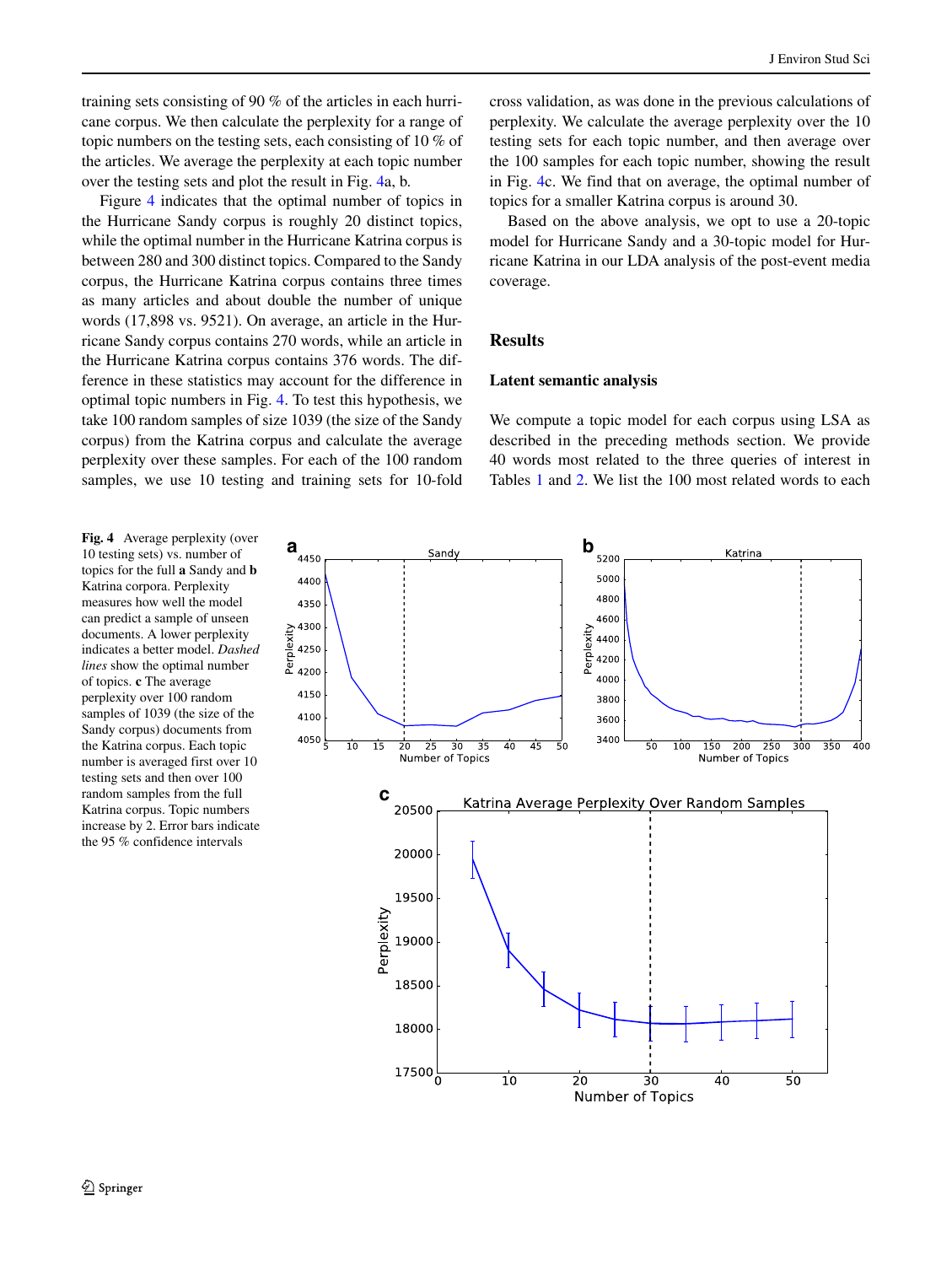training sets consisting of 90 % of the articles in each hurricane corpus. We then calculate the perplexity for a range of topic numbers on the testing sets, each consisting of 10 % of the articles. We average the perplexity at each topic number over the testing sets and plot the result in Fig. [4a](#page-5-1), b.

Figure [4](#page-5-1) indicates that the optimal number of topics in the Hurricane Sandy corpus is roughly 20 distinct topics, while the optimal number in the Hurricane Katrina corpus is between 280 and 300 distinct topics. Compared to the Sandy corpus, the Hurricane Katrina corpus contains three times as many articles and about double the number of unique words (17,898 vs. 9521). On average, an article in the Hurricane Sandy corpus contains 270 words, while an article in the Hurricane Katrina corpus contains 376 words. The difference in these statistics may account for the difference in optimal topic numbers in Fig. [4.](#page-5-1) To test this hypothesis, we take 100 random samples of size 1039 (the size of the Sandy corpus) from the Katrina corpus and calculate the average perplexity over these samples. For each of the 100 random samples, we use 10 testing and training sets for 10-fold cross validation, as was done in the previous calculations of perplexity. We calculate the average perplexity over the 10 testing sets for each topic number, and then average over the 100 samples for each topic number, showing the result in Fig. [4c](#page-5-1). We find that on average, the optimal number of topics for a smaller Katrina corpus is around 30.

Based on the above analysis, we opt to use a 20-topic model for Hurricane Sandy and a 30-topic model for Hurricane Katrina in our LDA analysis of the post-event media coverage.

# <span id="page-5-0"></span>**Results**

#### **Latent semantic analysis**

We compute a topic model for each corpus using LSA as described in the preceding methods section. We provide 40 words most related to the three queries of interest in Tables [1](#page-6-0) and [2.](#page-7-0) We list the 100 most related words to each

<span id="page-5-1"></span>**Fig. 4** Average perplexity (over 10 testing sets) vs. number of topics for the full **a** Sandy and **b** Katrina corpora. Perplexity measures how well the model can predict a sample of unseen documents. A lower perplexity indicates a better model. *Dashed lines* show the optimal number of topics. **c** The average perplexity over 100 random samples of 1039 (the size of the Sandy corpus) documents from the Katrina corpus. Each topic number is averaged first over 10 testing sets and then over 100 random samples from the full Katrina corpus. Topic numbers increase by 2. Error bars indicate the 95 % confidence intervals

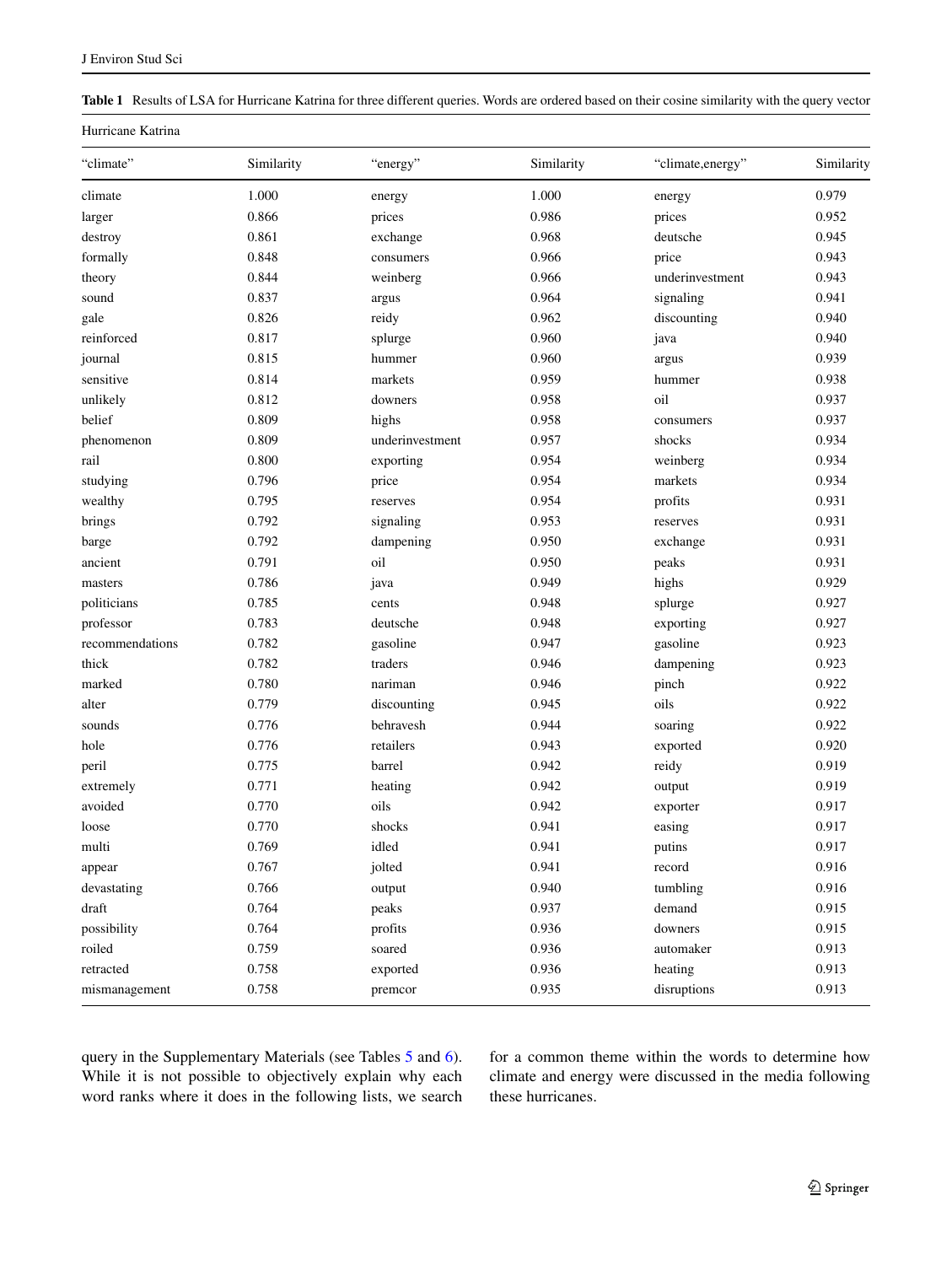<span id="page-6-0"></span>

| Table 1 Results of LSA for Hurricane Katrina for three different queries. Words are ordered based on their cosine similarity with the query vector |  |  |  |
|----------------------------------------------------------------------------------------------------------------------------------------------------|--|--|--|
|----------------------------------------------------------------------------------------------------------------------------------------------------|--|--|--|

| Hurricane Katrina |            |                 |            |                   |            |
|-------------------|------------|-----------------|------------|-------------------|------------|
| "climate"         | Similarity | "energy"        | Similarity | "climate, energy" | Similarity |
| climate           | 1.000      | energy          | 1.000      | energy            | 0.979      |
| larger            | 0.866      | prices          | 0.986      | prices            | 0.952      |
| destroy           | 0.861      | exchange        | 0.968      | deutsche          | 0.945      |
| formally          | 0.848      | consumers       | 0.966      | price             | 0.943      |
| theory            | 0.844      | weinberg        | 0.966      | underinvestment   | 0.943      |
| sound             | 0.837      | argus           | 0.964      | signaling         | 0.941      |
| gale              | 0.826      | reidy           | 0.962      | discounting       | 0.940      |
| reinforced        | 0.817      | splurge         | 0.960      | java              | 0.940      |
| journal           | 0.815      | hummer          | 0.960      | argus             | 0.939      |
| sensitive         | 0.814      | markets         | 0.959      | hummer            | 0.938      |
| unlikely          | 0.812      | downers         | 0.958      | oil               | 0.937      |
| belief            | 0.809      | highs           | 0.958      | consumers         | 0.937      |
| phenomenon        | 0.809      | underinvestment | 0.957      | shocks            | 0.934      |
| rail              | 0.800      | exporting       | 0.954      | weinberg          | 0.934      |
| studying          | 0.796      | price           | 0.954      | markets           | 0.934      |
| wealthy           | 0.795      | reserves        | 0.954      | profits           | 0.931      |
| brings            | 0.792      | signaling       | 0.953      | reserves          | 0.931      |
| barge             | 0.792      | dampening       | 0.950      | exchange          | 0.931      |
| ancient           | 0.791      | oil             | 0.950      | peaks             | 0.931      |
| masters           | 0.786      | java            | 0.949      | highs             | 0.929      |
| politicians       | 0.785      | cents           | 0.948      | splurge           | 0.927      |
| professor         | 0.783      | deutsche        | 0.948      | exporting         | 0.927      |
| recommendations   | 0.782      | gasoline        | 0.947      | gasoline          | 0.923      |
| thick             | 0.782      | traders         | 0.946      | dampening         | 0.923      |
| marked            | 0.780      | nariman         | 0.946      | pinch             | 0.922      |
| alter             | 0.779      | discounting     | 0.945      | oils              | 0.922      |
| sounds            | 0.776      | behravesh       | 0.944      | soaring           | 0.922      |
| hole              | 0.776      | retailers       | 0.943      | exported          | 0.920      |
| peril             | 0.775      | barrel          | 0.942      | reidy             | 0.919      |
| extremely         | 0.771      | heating         | 0.942      | output            | 0.919      |
| avoided           | 0.770      | oils            | 0.942      | exporter          | 0.917      |
| loose             | 0.770      | shocks          | 0.941      | easing            | 0.917      |
| multi             | 0.769      | idled           | 0.941      | putins            | 0.917      |
| appear            | 0.767      | jolted          | 0.941      | record            | 0.916      |
| devastating       | 0.766      | output          | 0.940      | tumbling          | 0.916      |
| draft             | 0.764      | peaks           | 0.937      | demand            | 0.915      |
| possibility       | 0.764      | profits         | 0.936      | downers           | 0.915      |
| roiled            | 0.759      | soared          | 0.936      | automaker         | 0.913      |
| retracted         | 0.758      | exported        | 0.936      | heating           | 0.913      |
| mismanagement     | 0.758      | premcor         | 0.935      | disruptions       | 0.913      |

query in the Supplementary Materials (see Tables 5 and 6). While it is not possible to objectively explain why each word ranks where it does in the following lists, we search for a common theme within the words to determine how climate and energy were discussed in the media following these hurricanes.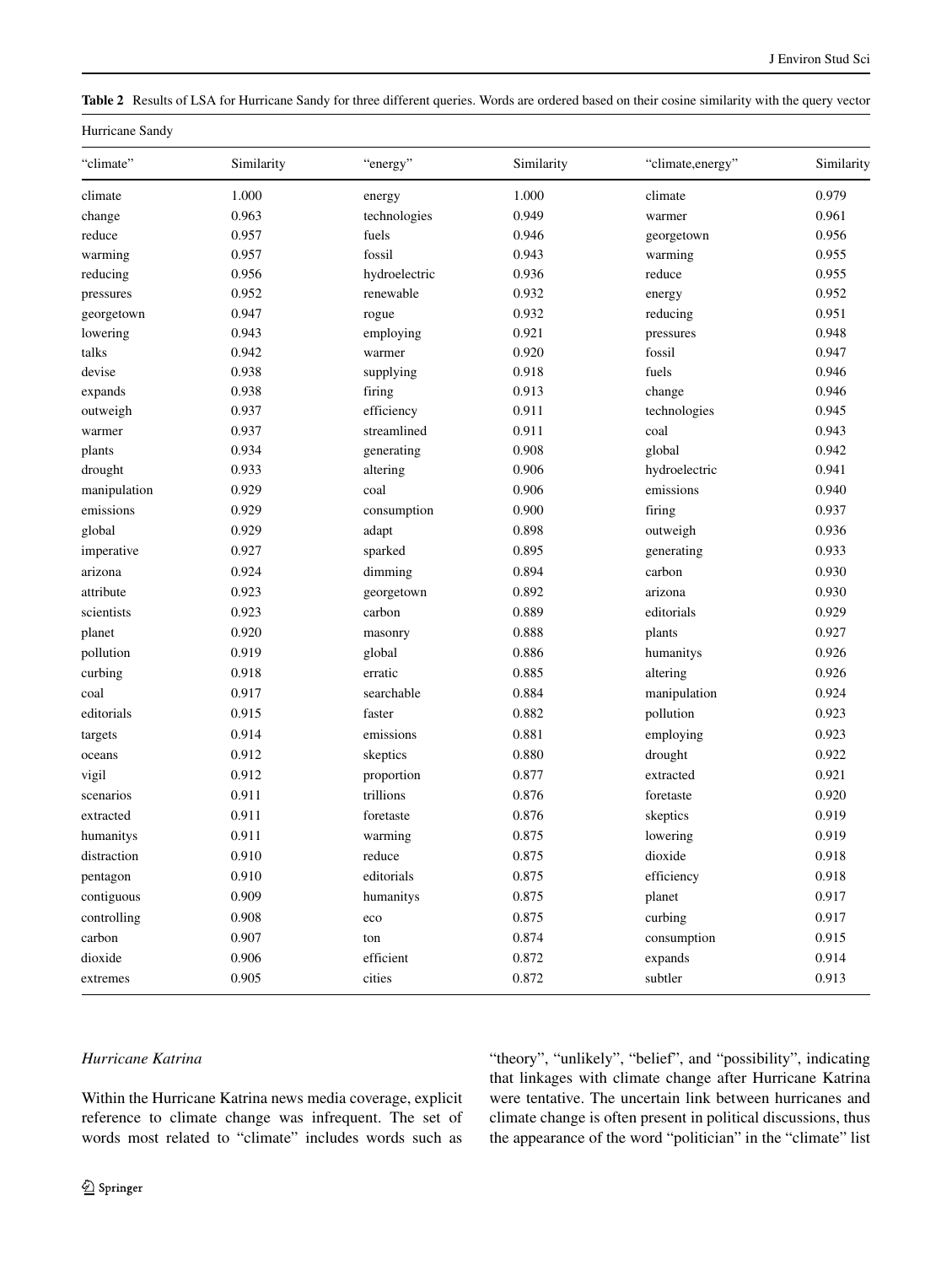<span id="page-7-0"></span>**Table 2** Results of LSA for Hurricane Sandy for three different queries. Words are ordered based on their cosine similarity with the query vector

| Hurricane Sandy |  |
|-----------------|--|

| "climate"    | Similarity | "energy"      | Similarity | "climate, energy" | Similarity |
|--------------|------------|---------------|------------|-------------------|------------|
| climate      | 1.000      | energy        | 1.000      | climate           | 0.979      |
| change       | 0.963      | technologies  | 0.949      | warmer            | 0.961      |
| reduce       | 0.957      | fuels         | 0.946      | georgetown        | 0.956      |
| warming      | 0.957      | fossil        | 0.943      | warming           | 0.955      |
| reducing     | 0.956      | hydroelectric | 0.936      | reduce            | 0.955      |
| pressures    | 0.952      | renewable     | 0.932      | energy            | 0.952      |
| georgetown   | 0.947      | rogue         | 0.932      | reducing          | 0.951      |
| lowering     | 0.943      | employing     | 0.921      | pressures         | 0.948      |
| talks        | 0.942      | warmer        | 0.920      | fossil            | 0.947      |
| devise       | 0.938      | supplying     | 0.918      | fuels             | 0.946      |
| expands      | 0.938      | firing        | 0.913      | change            | 0.946      |
| outweigh     | 0.937      | efficiency    | 0.911      | technologies      | 0.945      |
| warmer       | 0.937      | streamlined   | 0.911      | coal              | 0.943      |
| plants       | 0.934      | generating    | 0.908      | global            | 0.942      |
| drought      | 0.933      | altering      | 0.906      | hydroelectric     | 0.941      |
| manipulation | 0.929      | coal          | 0.906      | emissions         | 0.940      |
| emissions    | 0.929      | consumption   | 0.900      | firing            | 0.937      |
| global       | 0.929      | adapt         | 0.898      | outweigh          | 0.936      |
| imperative   | 0.927      | sparked       | 0.895      | generating        | 0.933      |
| arizona      | 0.924      | dimming       | 0.894      | carbon            | 0.930      |
| attribute    | 0.923      | georgetown    | 0.892      | arizona           | 0.930      |
| scientists   | 0.923      | carbon        | 0.889      | editorials        | 0.929      |
| planet       | 0.920      | masonry       | 0.888      | plants            | 0.927      |
| pollution    | 0.919      | global        | 0.886      | humanitys         | 0.926      |
| curbing      | 0.918      | erratic       | 0.885      | altering          | 0.926      |
| coal         | 0.917      | searchable    | 0.884      | manipulation      | 0.924      |
| editorials   | 0.915      | faster        | 0.882      | pollution         | 0.923      |
| targets      | 0.914      | emissions     | 0.881      | employing         | 0.923      |
| oceans       | 0.912      | skeptics      | 0.880      | drought           | 0.922      |
| vigil        | 0.912      | proportion    | 0.877      | extracted         | 0.921      |
| scenarios    | 0.911      | trillions     | 0.876      | foretaste         | 0.920      |
| extracted    | 0.911      | foretaste     | 0.876      | skeptics          | 0.919      |
| humanitys    | 0.911      | warming       | 0.875      | lowering          | 0.919      |
| distraction  | 0.910      | reduce        | 0.875      | dioxide           | 0.918      |
| pentagon     | 0.910      | editorials    | 0.875      | efficiency        | 0.918      |
| contiguous   | 0.909      | humanitys     | 0.875      | planet            | 0.917      |
| controlling  | 0.908      | eco           | 0.875      | curbing           | 0.917      |
| carbon       | 0.907      | ton           | 0.874      | consumption       | 0.915      |
| dioxide      | 0.906      | efficient     | 0.872      | expands           | 0.914      |
| extremes     | 0.905      | cities        | 0.872      | subtler           | 0.913      |
|              |            |               |            |                   |            |

# *Hurricane Katrina*

Within the Hurricane Katrina news media coverage, explicit reference to climate change was infrequent. The set of words most related to "climate" includes words such as "theory", "unlikely", "belief", and "possibility", indicating that linkages with climate change after Hurricane Katrina were tentative. The uncertain link between hurricanes and climate change is often present in political discussions, thus the appearance of the word "politician" in the "climate" list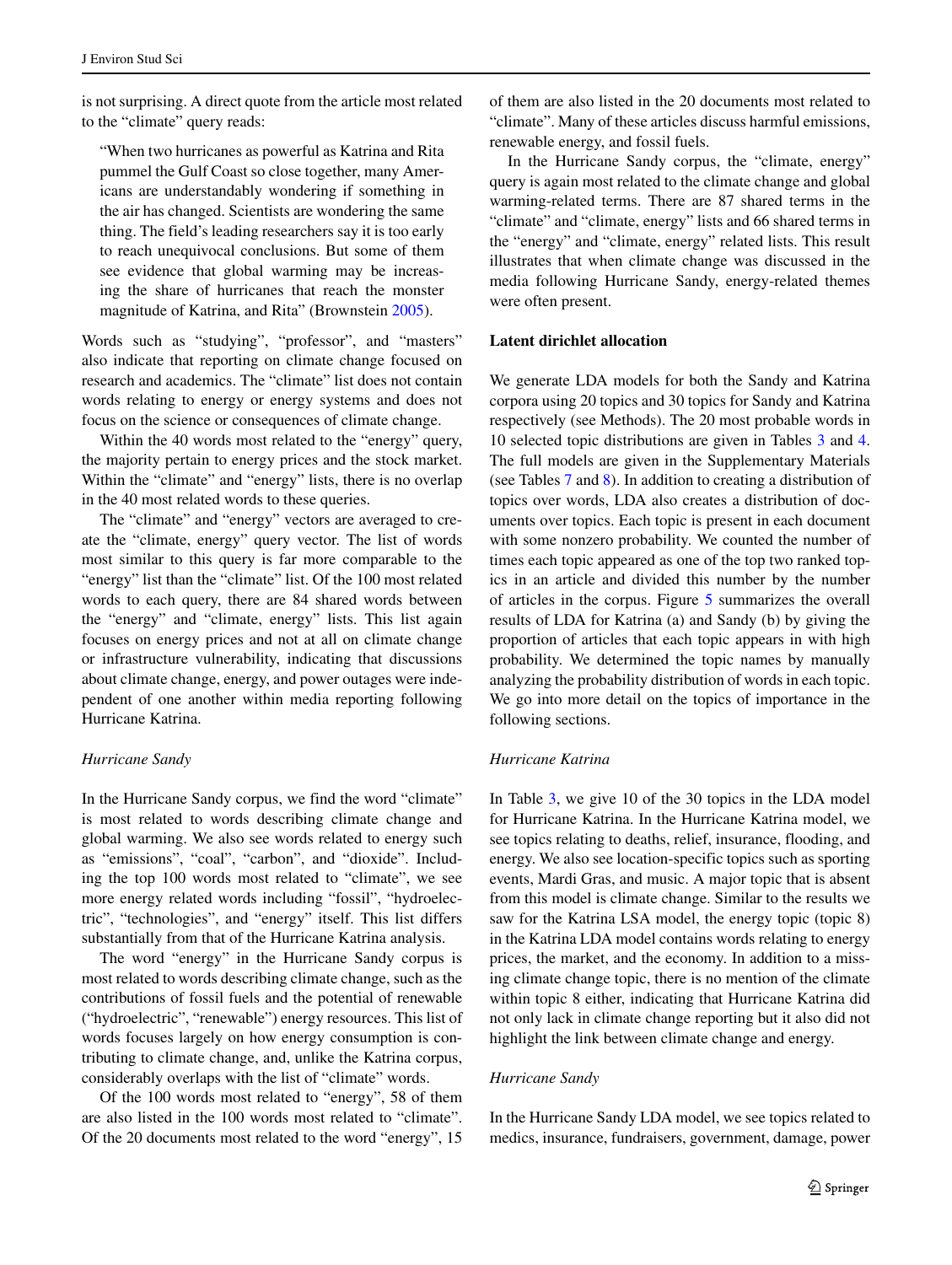is not surprising. A direct quote from the article most related to the "climate" query reads:

"When two hurricanes as powerful as Katrina and Rita pummel the Gulf Coast so close together, many Americans are understandably wondering if something in the air has changed. Scientists are wondering the same thing. The field's leading researchers say it is too early to reach unequivocal conclusions. But some of them see evidence that global warming may be increasing the share of hurricanes that reach the monster magnitude of Katrina, and Rita" (Brownstein [2005\)](#page-13-19).

Words such as "studying", "professor", and "masters" also indicate that reporting on climate change focused on research and academics. The "climate" list does not contain words relating to energy or energy systems and does not focus on the science or consequences of climate change.

Within the 40 words most related to the "energy" query, the majority pertain to energy prices and the stock market. Within the "climate" and "energy" lists, there is no overlap in the 40 most related words to these queries.

The "climate" and "energy" vectors are averaged to create the "climate, energy" query vector. The list of words most similar to this query is far more comparable to the "energy" list than the "climate" list. Of the 100 most related words to each query, there are 84 shared words between the "energy" and "climate, energy" lists. This list again focuses on energy prices and not at all on climate change or infrastructure vulnerability, indicating that discussions about climate change, energy, and power outages were independent of one another within media reporting following Hurricane Katrina.

## *Hurricane Sandy*

In the Hurricane Sandy corpus, we find the word "climate" is most related to words describing climate change and global warming. We also see words related to energy such as "emissions", "coal", "carbon", and "dioxide". Including the top 100 words most related to "climate", we see more energy related words including "fossil", "hydroelectric", "technologies", and "energy" itself. This list differs substantially from that of the Hurricane Katrina analysis.

The word "energy" in the Hurricane Sandy corpus is most related to words describing climate change, such as the contributions of fossil fuels and the potential of renewable ("hydroelectric", "renewable") energy resources. This list of words focuses largely on how energy consumption is contributing to climate change, and, unlike the Katrina corpus, considerably overlaps with the list of "climate" words.

Of the 100 words most related to "energy", 58 of them are also listed in the 100 words most related to "climate". Of the 20 documents most related to the word "energy", 15 of them are also listed in the 20 documents most related to "climate". Many of these articles discuss harmful emissions, renewable energy, and fossil fuels.

In the Hurricane Sandy corpus, the "climate, energy" query is again most related to the climate change and global warming-related terms. There are 87 shared terms in the "climate" and "climate, energy" lists and 66 shared terms in the "energy" and "climate, energy" related lists. This result illustrates that when climate change was discussed in the media following Hurricane Sandy, energy-related themes were often present.

## **Latent dirichlet allocation**

We generate LDA models for both the Sandy and Katrina corpora using 20 topics and 30 topics for Sandy and Katrina respectively (see Methods). The 20 most probable words in 10 selected topic distributions are given in Tables [3](#page-9-0) and [4.](#page-10-0) The full models are given in the Supplementary Materials (see Tables 7 and 8). In addition to creating a distribution of topics over words, LDA also creates a distribution of documents over topics. Each topic is present in each document with some nonzero probability. We counted the number of times each topic appeared as one of the top two ranked topics in an article and divided this number by the number of articles in the corpus. Figure [5](#page-11-1) summarizes the overall results of LDA for Katrina (a) and Sandy (b) by giving the proportion of articles that each topic appears in with high probability. We determined the topic names by manually analyzing the probability distribution of words in each topic. We go into more detail on the topics of importance in the following sections.

## *Hurricane Katrina*

In Table [3,](#page-9-0) we give 10 of the 30 topics in the LDA model for Hurricane Katrina. In the Hurricane Katrina model, we see topics relating to deaths, relief, insurance, flooding, and energy. We also see location-specific topics such as sporting events, Mardi Gras, and music. A major topic that is absent from this model is climate change. Similar to the results we saw for the Katrina LSA model, the energy topic (topic 8) in the Katrina LDA model contains words relating to energy prices, the market, and the economy. In addition to a missing climate change topic, there is no mention of the climate within topic 8 either, indicating that Hurricane Katrina did not only lack in climate change reporting but it also did not highlight the link between climate change and energy.

#### *Hurricane Sandy*

In the Hurricane Sandy LDA model, we see topics related to medics, insurance, fundraisers, government, damage, power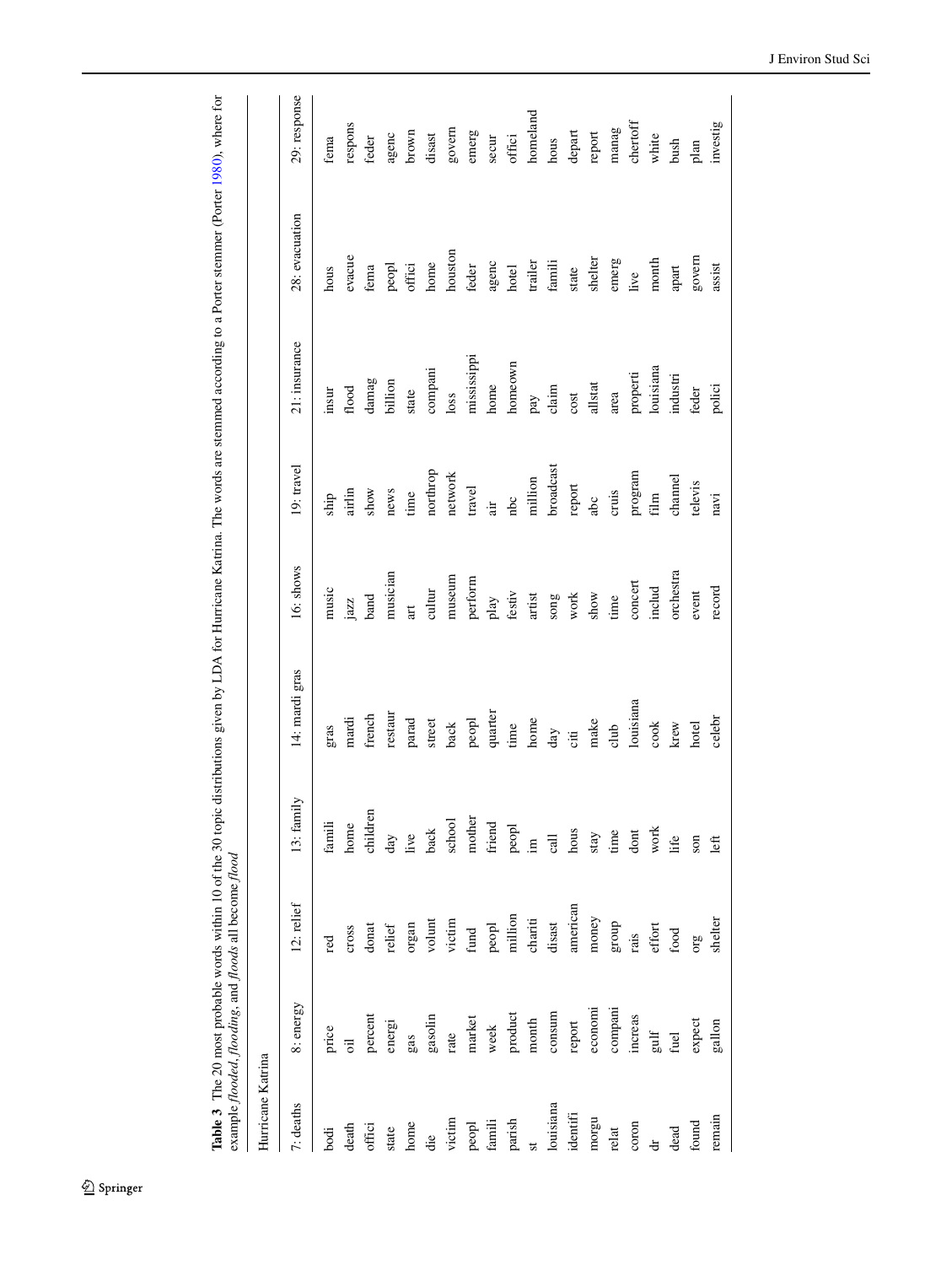<span id="page-9-0"></span>

|                   | Table 3 The 20 most probable words within 10 of the 30 topic<br>example flooded, flooding, and floods all become flood |               |                        |                |                |            |               | distributions given by LDA for Hurricane Katrina. The words are stemmed according to a Porter stemmer (Porter 1980), where for |              |
|-------------------|------------------------------------------------------------------------------------------------------------------------|---------------|------------------------|----------------|----------------|------------|---------------|--------------------------------------------------------------------------------------------------------------------------------|--------------|
| Hurricane Katrina |                                                                                                                        |               |                        |                |                |            |               |                                                                                                                                |              |
| 7: deaths         | 8: energy                                                                                                              | $12$ : relief | 13: family             | 14: mardi gras | 16: shows      | 19: travel | 21: insurance | 28: evacuation                                                                                                                 | 29: response |
| bodi              | price                                                                                                                  | red           | famili                 | gras           | music          | ship       | insur         | hous                                                                                                                           | fema         |
| death             | $\overline{d}$                                                                                                         | cross         | home                   | mardi          | jazz           | airlin     | flood         | evacue                                                                                                                         | respons      |
| offici            | percent                                                                                                                | donat         | children               | french         | band           | show       | damag         | fema                                                                                                                           | feder        |
| state             | energi                                                                                                                 | relief        | day                    | restaur        | musician       | news       | billion       | peopl                                                                                                                          | agenc        |
| home              | gas                                                                                                                    | organ         | live                   | parad          | $\overline{a}$ | time       | state         | offici                                                                                                                         | brown        |
| die               | gasolin                                                                                                                | volunt        | back                   | street         | cultur         | northrop   | compani       | home                                                                                                                           | disast       |
| victim            | rate                                                                                                                   | victim        | school                 | back           | museum         | network    | $\log$        | houston                                                                                                                        | govern       |
| peopl             | market                                                                                                                 | fund          | mother                 | peopl          | perform        | travel     | mississippi   | feder                                                                                                                          | emerg        |
| famili            | week                                                                                                                   | peopl         | friend                 | quarter        | play           | iir        | home          | agenc                                                                                                                          | secur        |
| parish            | product                                                                                                                | million       | peopl                  | time           | festiv         | nbc        | homeown       | hotel                                                                                                                          | offici       |
| ಜ                 | month                                                                                                                  | chariti       | Ē                      | home           | artist         | million    | pay           | trailer                                                                                                                        | homeland     |
| louisiana         | consum                                                                                                                 | disast        | 귾<br>C3l               | day            | song           | broadcast  | claim         | famili                                                                                                                         | hous         |
| identifi          | report                                                                                                                 | american      | hous                   | citi           | ${\rm work}$   | report     | cost          | state                                                                                                                          | depart       |
| morgu             | economi                                                                                                                | money         | $\frac{\text{stay}}{}$ | make           | show           | abc        | allstat       | shelter                                                                                                                        | report       |
| relat             | compani                                                                                                                | group         | time                   | club           | time           | cruis      | area          | emerg                                                                                                                          | manag        |
| coron             | increas                                                                                                                | rais          | dont                   | louisiana      | concert        | program    | properti      | live                                                                                                                           | chertoff     |
| ਚੋ                | gulf                                                                                                                   | effort        | work                   | $\cosh$        | includ         | film       | louisiana     | month                                                                                                                          | white        |
| dead              | fuel                                                                                                                   | food          | life                   | krew           | orchestra      | channel    | industri      | apart                                                                                                                          | bush         |
| found             | expect                                                                                                                 | $\sigma$      | son                    | hotel          | event          | televis    | feder         | govern                                                                                                                         | plan         |
| remain            | gallon                                                                                                                 | shelter       | left                   | celebr         | record         | navi       | polici        | assist                                                                                                                         | investig     |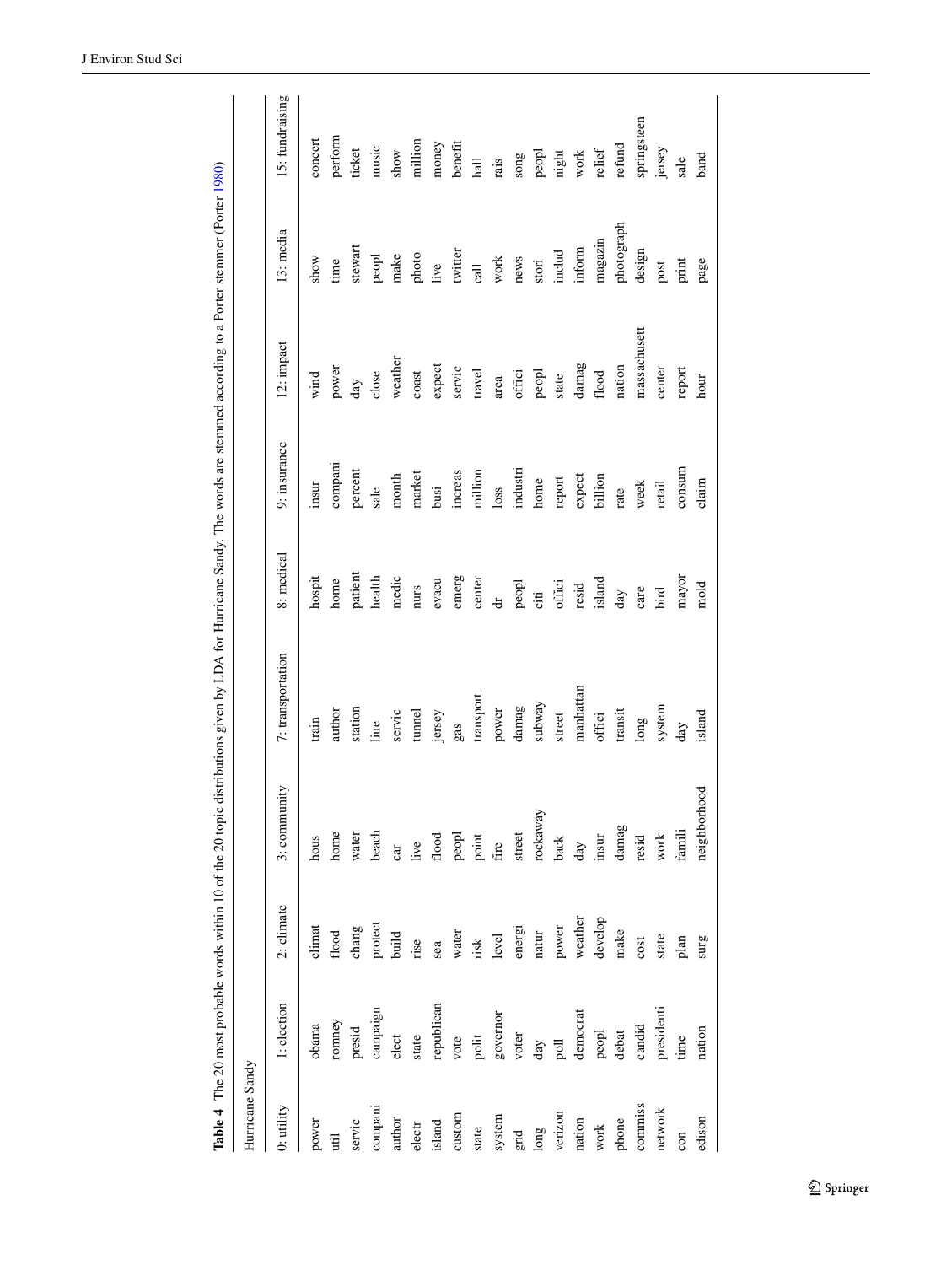<span id="page-10-0"></span>

|                 | Table 4 The 20 most probable words within 10 of the 20 topic |            |              | distributions given by LDA for Hurricane Sandy. The words are stemmed according to a Porter stemmer (Porter 1980) |            |              |              |            |                 |
|-----------------|--------------------------------------------------------------|------------|--------------|-------------------------------------------------------------------------------------------------------------------|------------|--------------|--------------|------------|-----------------|
| Hurricane Sandy |                                                              |            |              |                                                                                                                   |            |              |              |            |                 |
| $0:$ utility    | 1: election                                                  | 2: climate | 3: community | 7: transportation                                                                                                 | 8: medical | 9: insurance | 12: impact   | 13: media  | 15: fundraising |
| power           | obama                                                        | climat     | hous         | train                                                                                                             | hospit     | insur        | wind         | show       | concert         |
| util            | romney                                                       | flood      | home         | author                                                                                                            | home       | compani      | power        | $time$     | perform         |
| servic          | presid                                                       | chang      | water        | station                                                                                                           | patient    | percent      | day          | stewart    | ticket          |
| compani         | campaign                                                     | protect    | beach        | line                                                                                                              | health     | sale         | close        | peopl      | music           |
| author          | elect                                                        | build      | cat          | servic                                                                                                            | medic      | month        | weather      | make       | show            |
| electr          | state                                                        | rise       | live         | tunnel                                                                                                            | nurs       | market       | $\cos t$     | photo      | million         |
| island          | republican                                                   | sea        | flood        | jersey                                                                                                            | evacu      | busi         | expect       | live       | money           |
| $\cos \theta$   | vote                                                         | water      | peopl        | gas                                                                                                               | emerg      | increas      | servic       | twitter    | benefit         |
| state           | polit                                                        | risk       | point        | transport                                                                                                         | center     | million      | travel       | cal        | hall            |
| system          | governor                                                     | level      | fire         | power                                                                                                             | ŧ          | loss         | area         | work       | rais            |
| grid            | voter                                                        | energi     | street       | damag                                                                                                             | peopl      | industri     | offici       | news       | song            |
| long            | day                                                          | natur      | rockaway     | subway                                                                                                            | citi       | home         | peopl        | stori      | peopl           |
| verizon         | $_{\text{pol}}$                                              | power      | back         | street                                                                                                            | offici     | report       | state        | includ     | night           |
| nation          | democrat                                                     | weather    | day          | manhattan                                                                                                         | resid      | expect       | damag        | inform     | work            |
| ${\rm work}$    | peopl                                                        | develop    | insur        | offici                                                                                                            | island     | billion      | flood        | magazin    | relief          |
| $_{\rm phone}$  | debat                                                        | make       | damag        | transit                                                                                                           | day        | rate         | nation       | photograph | refund          |
| commiss         | candid                                                       | cost       | resid        | long                                                                                                              | care       | week         | massachusett | design     | springsteen     |
| network         | presidenti                                                   | state      | work         | system                                                                                                            | bird       | retail       | center       | post       | jersey          |
| $\cos$          | time                                                         | plan       | famili       | day                                                                                                               | mayor      | consum       | report       | print      | sale            |
| edison          | nation                                                       | surg       | neighborhood | island                                                                                                            | mold       | claim        | hour         | page       | band            |
|                 |                                                              |            |              |                                                                                                                   |            |              |              |            |                 |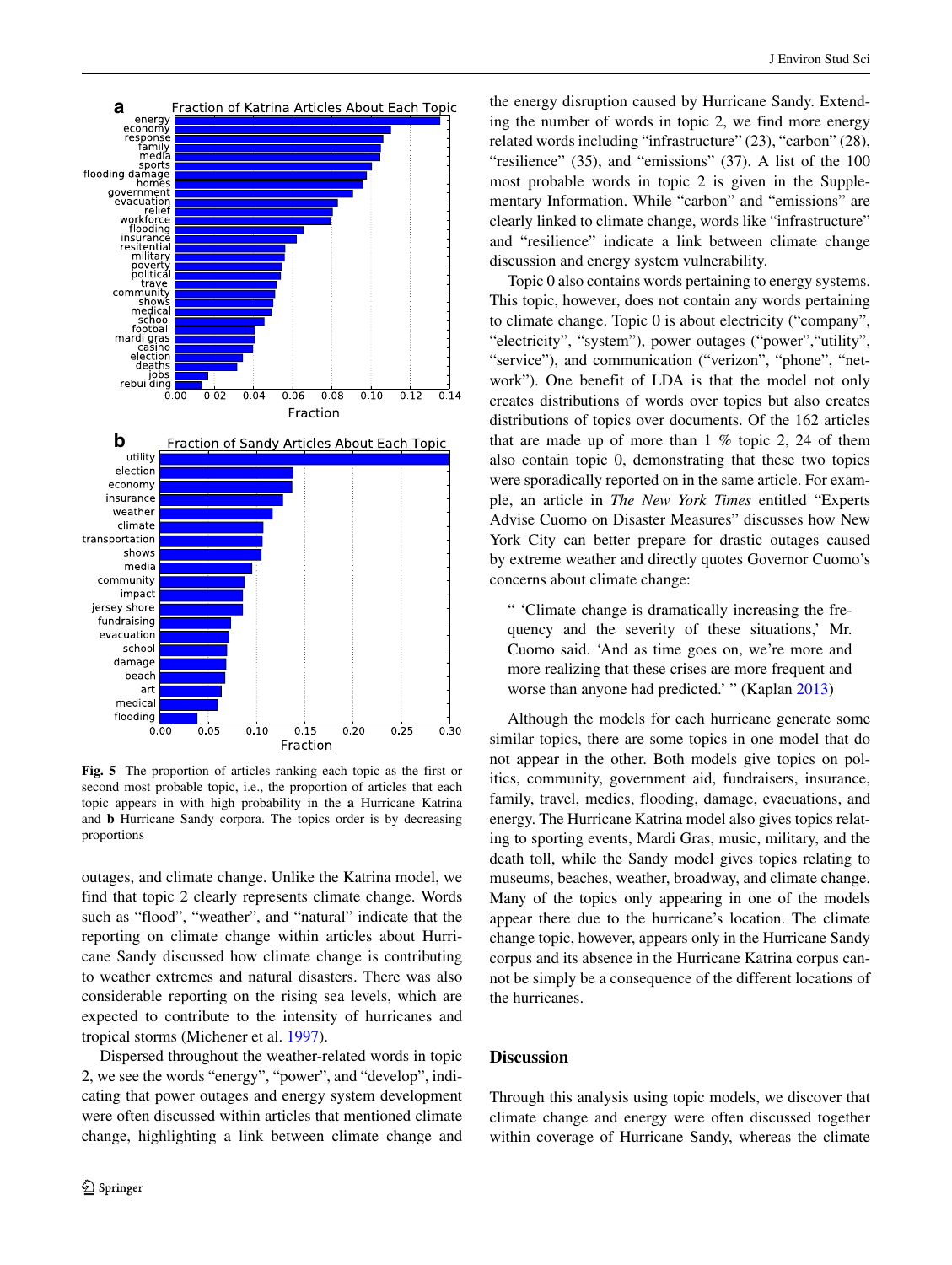<span id="page-11-1"></span>

**Fig. 5** The proportion of articles ranking each topic as the first or second most probable topic, i.e., the proportion of articles that each topic appears in with high probability in the **a** Hurricane Katrina and **b** Hurricane Sandy corpora. The topics order is by decreasing proportions

outages, and climate change. Unlike the Katrina model, we find that topic 2 clearly represents climate change. Words such as "flood", "weather", and "natural" indicate that the reporting on climate change within articles about Hurricane Sandy discussed how climate change is contributing to weather extremes and natural disasters. There was also considerable reporting on the rising sea levels, which are expected to contribute to the intensity of hurricanes and tropical storms (Michener et al. [1997\)](#page-14-14).

Dispersed throughout the weather-related words in topic 2, we see the words "energy", "power", and "develop", indicating that power outages and energy system development were often discussed within articles that mentioned climate change, highlighting a link between climate change and the energy disruption caused by Hurricane Sandy. Extending the number of words in topic 2, we find more energy related words including "infrastructure" (23), "carbon" (28), "resilience" (35), and "emissions" (37). A list of the 100 most probable words in topic 2 is given in the Supplementary Information. While "carbon" and "emissions" are clearly linked to climate change, words like "infrastructure" and "resilience" indicate a link between climate change discussion and energy system vulnerability.

Topic 0 also contains words pertaining to energy systems. This topic, however, does not contain any words pertaining to climate change. Topic 0 is about electricity ("company", "electricity", "system"), power outages ("power","utility", "service"), and communication ("verizon", "phone", "network"). One benefit of LDA is that the model not only creates distributions of words over topics but also creates distributions of topics over documents. Of the 162 articles that are made up of more than 1 % topic 2, 24 of them also contain topic 0, demonstrating that these two topics were sporadically reported on in the same article. For example, an article in *The New York Times* entitled "Experts Advise Cuomo on Disaster Measures" discusses how New York City can better prepare for drastic outages caused by extreme weather and directly quotes Governor Cuomo's concerns about climate change:

" 'Climate change is dramatically increasing the frequency and the severity of these situations,' Mr. Cuomo said. 'And as time goes on, we're more and more realizing that these crises are more frequent and worse than anyone had predicted.' " (Kaplan [2013\)](#page-13-20)

Although the models for each hurricane generate some similar topics, there are some topics in one model that do not appear in the other. Both models give topics on politics, community, government aid, fundraisers, insurance, family, travel, medics, flooding, damage, evacuations, and energy. The Hurricane Katrina model also gives topics relating to sporting events, Mardi Gras, music, military, and the death toll, while the Sandy model gives topics relating to museums, beaches, weather, broadway, and climate change. Many of the topics only appearing in one of the models appear there due to the hurricane's location. The climate change topic, however, appears only in the Hurricane Sandy corpus and its absence in the Hurricane Katrina corpus cannot be simply be a consequence of the different locations of the hurricanes.

# <span id="page-11-0"></span>**Discussion**

Through this analysis using topic models, we discover that climate change and energy were often discussed together within coverage of Hurricane Sandy, whereas the climate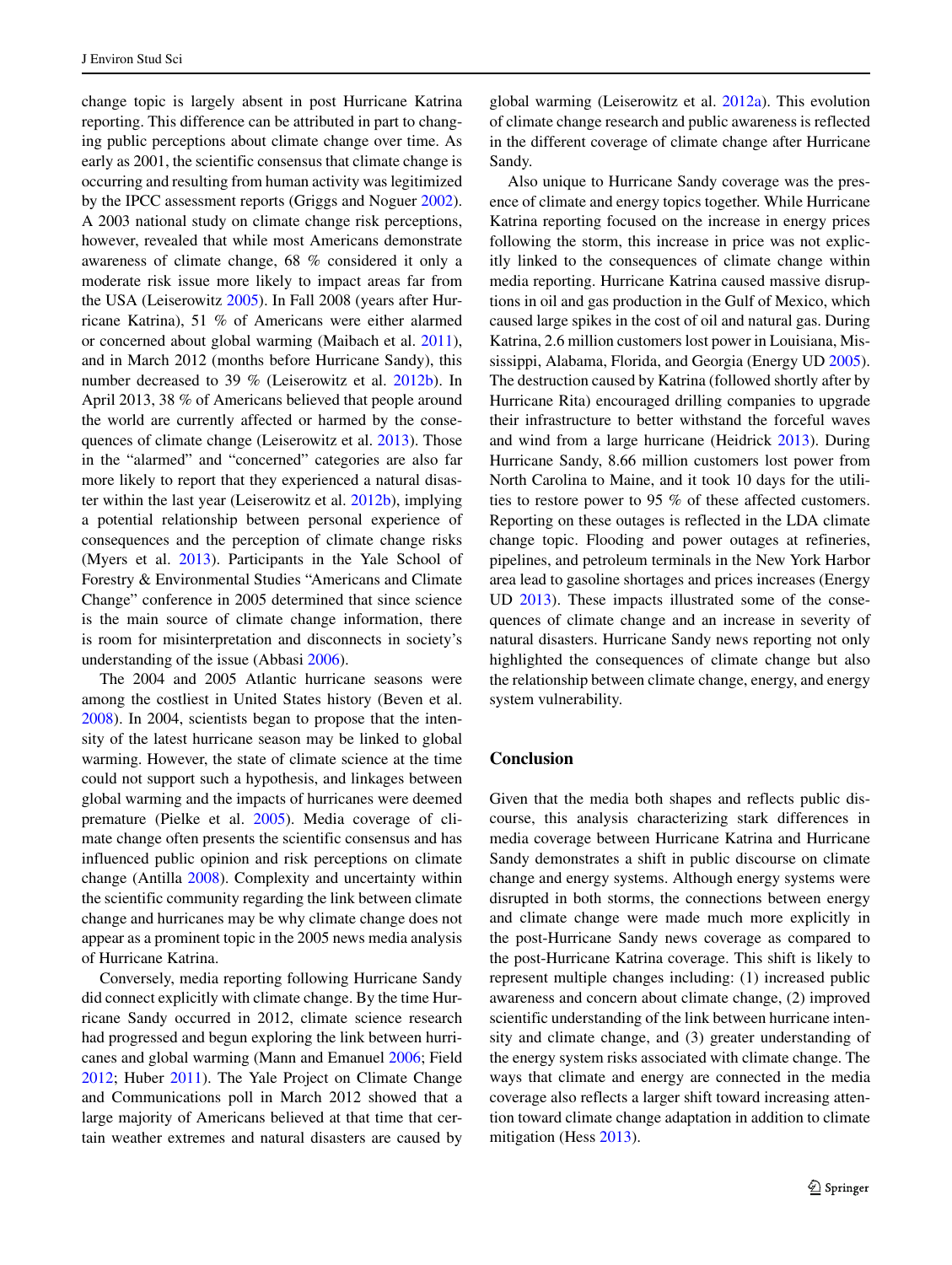change topic is largely absent in post Hurricane Katrina reporting. This difference can be attributed in part to changing public perceptions about climate change over time. As early as 2001, the scientific consensus that climate change is occurring and resulting from human activity was legitimized by the IPCC assessment reports (Griggs and Noguer [2002\)](#page-13-21). A 2003 national study on climate change risk perceptions, however, revealed that while most Americans demonstrate awareness of climate change, 68 % considered it only a moderate risk issue more likely to impact areas far from the USA (Leiserowitz [2005\)](#page-13-22). In Fall 2008 (years after Hurricane Katrina), 51 % of Americans were either alarmed or concerned about global warming (Maibach et al. [2011\)](#page-13-23), and in March 2012 (months before Hurricane Sandy), this number decreased to 39 % (Leiserowitz et al. [2012b\)](#page-13-24). In April 2013, 38 % of Americans believed that people around the world are currently affected or harmed by the consequences of climate change (Leiserowitz et al. [2013\)](#page-13-25). Those in the "alarmed" and "concerned" categories are also far more likely to report that they experienced a natural disaster within the last year (Leiserowitz et al. [2012b\)](#page-13-24), implying a potential relationship between personal experience of consequences and the perception of climate change risks (Myers et al. [2013\)](#page-14-1). Participants in the Yale School of Forestry & Environmental Studies "Americans and Climate Change" conference in 2005 determined that since science is the main source of climate change information, there is room for misinterpretation and disconnects in society's understanding of the issue (Abbasi [2006\)](#page-13-26).

The 2004 and 2005 Atlantic hurricane seasons were among the costliest in United States history (Beven et al. [2008\)](#page-13-27). In 2004, scientists began to propose that the intensity of the latest hurricane season may be linked to global warming. However, the state of climate science at the time could not support such a hypothesis, and linkages between global warming and the impacts of hurricanes were deemed premature (Pielke et al. [2005\)](#page-14-15). Media coverage of climate change often presents the scientific consensus and has influenced public opinion and risk perceptions on climate change (Antilla [2008\)](#page-13-28). Complexity and uncertainty within the scientific community regarding the link between climate change and hurricanes may be why climate change does not appear as a prominent topic in the 2005 news media analysis of Hurricane Katrina.

Conversely, media reporting following Hurricane Sandy did connect explicitly with climate change. By the time Hurricane Sandy occurred in 2012, climate science research had progressed and begun exploring the link between hurricanes and global warming (Mann and Emanuel [2006;](#page-14-0) Field [2012;](#page-13-1) Huber [2011\)](#page-13-2). The Yale Project on Climate Change and Communications poll in March 2012 showed that a large majority of Americans believed at that time that certain weather extremes and natural disasters are caused by global warming (Leiserowitz et al. [2012a\)](#page-13-29). This evolution of climate change research and public awareness is reflected in the different coverage of climate change after Hurricane Sandy.

Also unique to Hurricane Sandy coverage was the presence of climate and energy topics together. While Hurricane Katrina reporting focused on the increase in energy prices following the storm, this increase in price was not explicitly linked to the consequences of climate change within media reporting. Hurricane Katrina caused massive disruptions in oil and gas production in the Gulf of Mexico, which caused large spikes in the cost of oil and natural gas. During Katrina, 2.6 million customers lost power in Louisiana, Mississippi, Alabama, Florida, and Georgia (Energy UD [2005\)](#page-13-30). The destruction caused by Katrina (followed shortly after by Hurricane Rita) encouraged drilling companies to upgrade their infrastructure to better withstand the forceful waves and wind from a large hurricane (Heidrick [2013\)](#page-13-31). During Hurricane Sandy, 8.66 million customers lost power from North Carolina to Maine, and it took 10 days for the utilities to restore power to 95 % of these affected customers. Reporting on these outages is reflected in the LDA climate change topic. Flooding and power outages at refineries, pipelines, and petroleum terminals in the New York Harbor area lead to gasoline shortages and prices increases (Energy UD [2013\)](#page-13-32). These impacts illustrated some of the consequences of climate change and an increase in severity of natural disasters. Hurricane Sandy news reporting not only highlighted the consequences of climate change but also the relationship between climate change, energy, and energy system vulnerability.

## <span id="page-12-0"></span>**Conclusion**

Given that the media both shapes and reflects public discourse, this analysis characterizing stark differences in media coverage between Hurricane Katrina and Hurricane Sandy demonstrates a shift in public discourse on climate change and energy systems. Although energy systems were disrupted in both storms, the connections between energy and climate change were made much more explicitly in the post-Hurricane Sandy news coverage as compared to the post-Hurricane Katrina coverage. This shift is likely to represent multiple changes including: (1) increased public awareness and concern about climate change, (2) improved scientific understanding of the link between hurricane intensity and climate change, and (3) greater understanding of the energy system risks associated with climate change. The ways that climate and energy are connected in the media coverage also reflects a larger shift toward increasing attention toward climate change adaptation in addition to climate mitigation (Hess [2013\)](#page-13-33).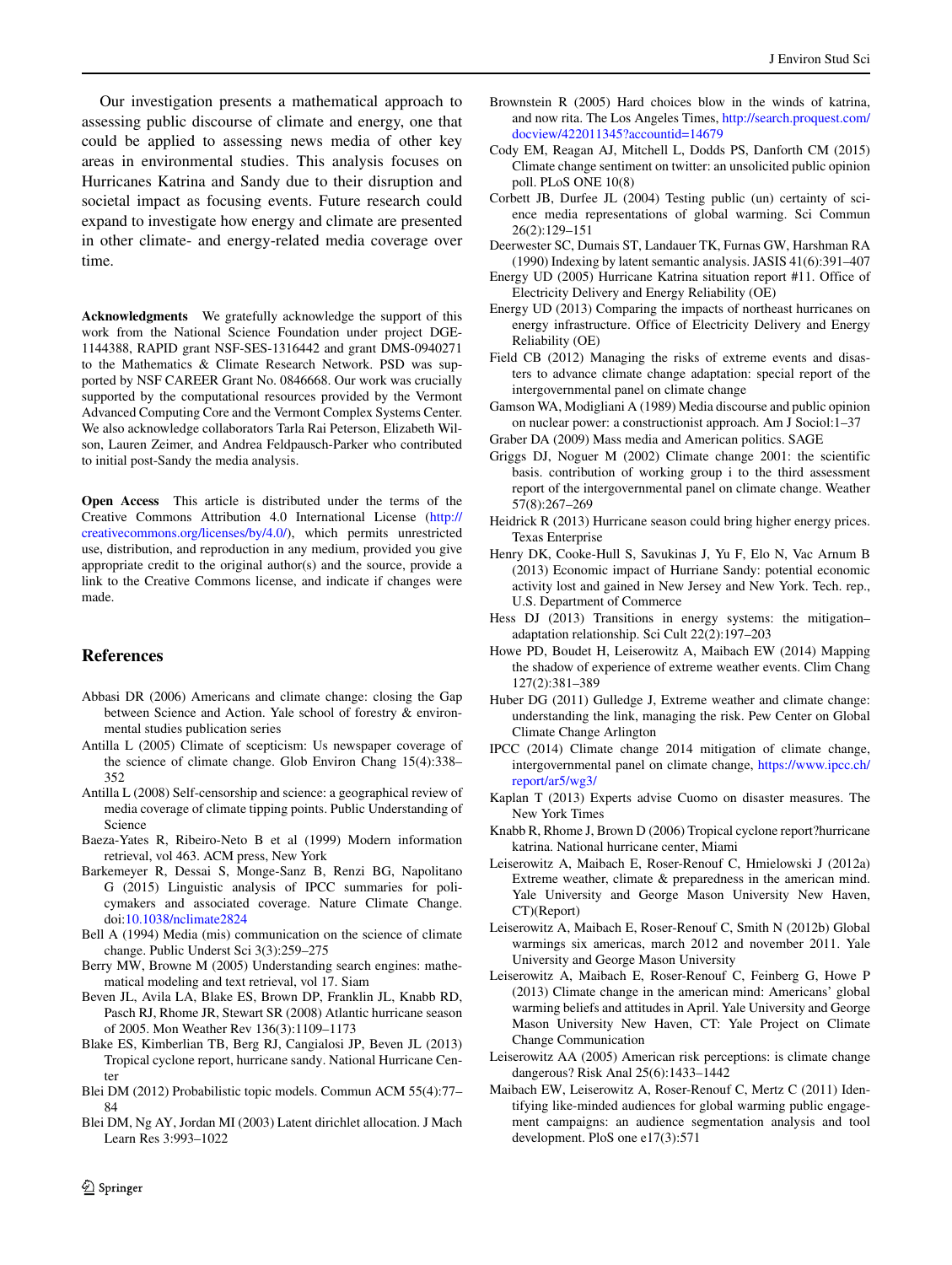Our investigation presents a mathematical approach to assessing public discourse of climate and energy, one that could be applied to assessing news media of other key areas in environmental studies. This analysis focuses on Hurricanes Katrina and Sandy due to their disruption and societal impact as focusing events. Future research could expand to investigate how energy and climate are presented in other climate- and energy-related media coverage over time.

**Acknowledgments** We gratefully acknowledge the support of this work from the National Science Foundation under project DGE-1144388, RAPID grant NSF-SES-1316442 and grant DMS-0940271 to the Mathematics & Climate Research Network. PSD was supported by NSF CAREER Grant No. 0846668. Our work was crucially supported by the computational resources provided by the Vermont Advanced Computing Core and the Vermont Complex Systems Center. We also acknowledge collaborators Tarla Rai Peterson, Elizabeth Wilson, Lauren Zeimer, and Andrea Feldpausch-Parker who contributed to initial post-Sandy the media analysis.

**Open Access** This article is distributed under the terms of the Creative Commons Attribution 4.0 International License [\(http://](http://creativecommons.org/licenses/by/4.0/) [creativecommons.org/licenses/by/4.0/\)](http://creativecommons.org/licenses/by/4.0/), which permits unrestricted use, distribution, and reproduction in any medium, provided you give appropriate credit to the original author(s) and the source, provide a link to the Creative Commons license, and indicate if changes were made.

## **References**

- <span id="page-13-26"></span>Abbasi DR (2006) Americans and climate change: closing the Gap between Science and Action. Yale school of forestry & environmental studies publication series
- <span id="page-13-9"></span>Antilla L (2005) Climate of scepticism: Us newspaper coverage of the science of climate change. Glob Environ Chang 15(4):338– 352
- <span id="page-13-28"></span>Antilla L (2008) Self-censorship and science: a geographical review of media coverage of climate tipping points. Public Understanding of Science
- <span id="page-13-16"></span>Baeza-Yates R, Ribeiro-Neto B et al (1999) Modern information retrieval, vol 463. ACM press, New York
- <span id="page-13-10"></span>Barkemeyer R, Dessai S, Monge-Sanz B, Renzi BG, Napolitano G (2015) Linguistic analysis of IPCC summaries for policymakers and associated coverage. Nature Climate Change. doi[:10.1038/nclimate2824](http://dx.doi.org/10.1038/nclimate2824)
- <span id="page-13-4"></span>Bell A (1994) Media (mis) communication on the science of climate change. Public Underst Sci 3(3):259–275
- <span id="page-13-15"></span>Berry MW, Browne M (2005) Understanding search engines: mathematical modeling and text retrieval, vol 17. Siam
- <span id="page-13-27"></span>Beven JL, Avila LA, Blake ES, Brown DP, Franklin JL, Knabb RD, Pasch RJ, Rhome JR, Stewart SR (2008) Atlantic hurricane season of 2005. Mon Weather Rev 136(3):1109–1173
- <span id="page-13-12"></span>Blake ES, Kimberlian TB, Berg RJ, Cangialosi JP, Beven JL (2013) Tropical cyclone report, hurricane sandy. National Hurricane Center
- <span id="page-13-18"></span>Blei DM (2012) Probabilistic topic models. Commun ACM 55(4):77– 84
- <span id="page-13-17"></span>Blei DM, Ng AY, Jordan MI (2003) Latent dirichlet allocation. J Mach Learn Res 3:993–1022
- <span id="page-13-19"></span>Brownstein R (2005) Hard choices blow in the winds of katrina, and now rita. The Los Angeles Times, [http://search.proquest.com/](http://search.proquest.com/docview/422011345?accountid=14679) [docview/422011345?accountid=14679](http://search.proquest.com/docview/422011345?accountid=14679)
- <span id="page-13-5"></span>Cody EM, Reagan AJ, Mitchell L, Dodds PS, Danforth CM (2015) Climate change sentiment on twitter: an unsolicited public opinion poll. PLoS ONE 10(8)
- <span id="page-13-8"></span>Corbett JB, Durfee JL (2004) Testing public (un) certainty of science media representations of global warming. Sci Commun 26(2):129–151
- <span id="page-13-14"></span>Deerwester SC, Dumais ST, Landauer TK, Furnas GW, Harshman RA (1990) Indexing by latent semantic analysis. JASIS 41(6):391–407
- <span id="page-13-30"></span>Energy UD (2005) Hurricane Katrina situation report #11. Office of Electricity Delivery and Energy Reliability (OE)
- <span id="page-13-32"></span>Energy UD (2013) Comparing the impacts of northeast hurricanes on energy infrastructure. Office of Electricity Delivery and Energy Reliability (OE)
- <span id="page-13-1"></span>Field CB (2012) Managing the risks of extreme events and disasters to advance climate change adaptation: special report of the intergovernmental panel on climate change
- <span id="page-13-7"></span>Gamson WA, Modigliani A (1989) Media discourse and public opinion on nuclear power: a constructionist approach. Am J Sociol:1–37
- <span id="page-13-6"></span>Graber DA (2009) Mass media and American politics. SAGE
- <span id="page-13-21"></span>Griggs DJ, Noguer M (2002) Climate change 2001: the scientific basis. contribution of working group i to the third assessment report of the intergovernmental panel on climate change. Weather 57(8):267–269
- <span id="page-13-31"></span>Heidrick R (2013) Hurricane season could bring higher energy prices. Texas Enterprise
- <span id="page-13-13"></span>Henry DK, Cooke-Hull S, Savukinas J, Yu F, Elo N, Vac Arnum B (2013) Economic impact of Hurriane Sandy: potential economic activity lost and gained in New Jersey and New York. Tech. rep., U.S. Department of Commerce
- <span id="page-13-33"></span>Hess DJ (2013) Transitions in energy systems: the mitigation– adaptation relationship. Sci Cult 22(2):197–203
- <span id="page-13-3"></span>Howe PD, Boudet H, Leiserowitz A, Maibach EW (2014) Mapping the shadow of experience of extreme weather events. Clim Chang 127(2):381–389
- <span id="page-13-2"></span>Huber DG (2011) Gulledge J, Extreme weather and climate change: understanding the link, managing the risk. Pew Center on Global Climate Change Arlington
- <span id="page-13-0"></span>IPCC (2014) Climate change 2014 mitigation of climate change, intergovernmental panel on climate change, [https://www.ipcc.ch/](https://www.ipcc.ch/report/ar5/wg3/) [report/ar5/wg3/](https://www.ipcc.ch/report/ar5/wg3/)
- <span id="page-13-20"></span>Kaplan T (2013) Experts advise Cuomo on disaster measures. The New York Times
- <span id="page-13-11"></span>Knabb R, Rhome J, Brown D (2006) Tropical cyclone report?hurricane katrina. National hurricane center, Miami
- <span id="page-13-29"></span>Leiserowitz A, Maibach E, Roser-Renouf C, Hmielowski J (2012a) Extreme weather, climate & preparedness in the american mind. Yale University and George Mason University New Haven, CT)(Report)
- <span id="page-13-24"></span>Leiserowitz A, Maibach E, Roser-Renouf C, Smith N (2012b) Global warmings six americas, march 2012 and november 2011. Yale University and George Mason University
- <span id="page-13-25"></span>Leiserowitz A, Maibach E, Roser-Renouf C, Feinberg G, Howe P (2013) Climate change in the american mind: Americans' global warming beliefs and attitudes in April. Yale University and George Mason University New Haven, CT: Yale Project on Climate Change Communication
- <span id="page-13-22"></span>Leiserowitz AA (2005) American risk perceptions: is climate change dangerous? Risk Anal 25(6):1433–1442
- <span id="page-13-23"></span>Maibach EW, Leiserowitz A, Roser-Renouf C, Mertz C (2011) Identifying like-minded audiences for global warming public engagement campaigns: an audience segmentation analysis and tool development. PloS one e17(3):571